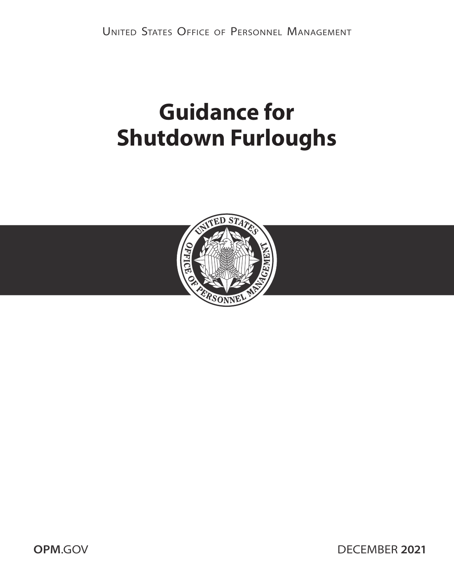# **Guidance for Shutdown Furloughs**



**OPM.GOV DECEMBER 2021**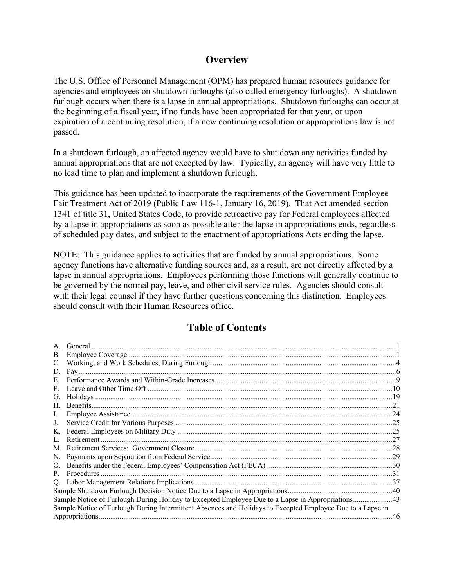## **Overview**

The U.S. Office of Personnel Management (OPM) has prepared human resources guidance for agencies and employees on shutdown furloughs (also called emergency furloughs). A shutdown furlough occurs when there is a lapse in annual appropriations. Shutdown furloughs can occur at the beginning of a fiscal year, if no funds have been appropriated for that year, or upon expiration of a continuing resolution, if a new continuing resolution or appropriations law is not passed.

In a shutdown furlough, an affected agency would have to shut down any activities funded by annual appropriations that are not excepted by law. Typically, an agency will have very little to no lead time to plan and implement a shutdown furlough.

This guidance has been updated to incorporate the requirements of the Government Employee Fair Treatment Act of 2019 (Public Law 116-1, January 16, 2019). That Act amended section 1341 of title 31, United States Code, to provide retroactive pay for Federal employees affected by a lapse in appropriations as soon as possible after the lapse in appropriations ends, regardless of scheduled pay dates, and subject to the enactment of appropriations Acts ending the lapse.

NOTE: This guidance applies to activities that are funded by annual appropriations. Some agency functions have alternative funding sources and, as a result, are not directly affected by a lapse in annual appropriations. Employees performing those functions will generally continue to be governed by the normal pay, leave, and other civil service rules. Agencies should consult with their legal counsel if they have further questions concerning this distinction. Employees should consult with their Human Resources office.

## **Table of Contents**

| В.                                                                                                         |                                                                                                  |     |
|------------------------------------------------------------------------------------------------------------|--------------------------------------------------------------------------------------------------|-----|
| C.                                                                                                         |                                                                                                  |     |
| D.                                                                                                         |                                                                                                  |     |
| Е.                                                                                                         |                                                                                                  |     |
| F.                                                                                                         |                                                                                                  |     |
| G.                                                                                                         |                                                                                                  |     |
| Н.                                                                                                         |                                                                                                  |     |
| Ι.                                                                                                         |                                                                                                  |     |
| J.                                                                                                         |                                                                                                  |     |
| Κ.                                                                                                         |                                                                                                  |     |
|                                                                                                            |                                                                                                  |     |
| M.                                                                                                         |                                                                                                  |     |
| N.                                                                                                         |                                                                                                  |     |
| O.                                                                                                         |                                                                                                  |     |
|                                                                                                            |                                                                                                  |     |
| Q.                                                                                                         |                                                                                                  |     |
|                                                                                                            |                                                                                                  |     |
|                                                                                                            | Sample Notice of Furlough During Holiday to Excepted Employee Due to a Lapse in Appropriations43 |     |
| Sample Notice of Furlough During Intermittent Absences and Holidays to Excepted Employee Due to a Lapse in |                                                                                                  |     |
|                                                                                                            |                                                                                                  | .46 |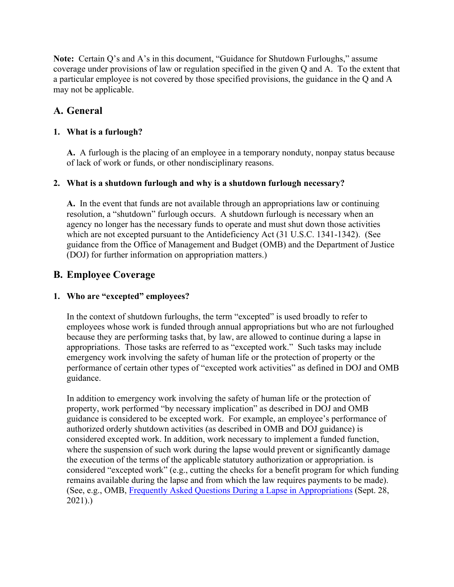**Note:** Certain Q's and A's in this document, "Guidance for Shutdown Furloughs," assume coverage under provisions of law or regulation specified in the given Q and A. To the extent that a particular employee is not covered by those specified provisions, the guidance in the Q and A may not be applicable.

## <span id="page-2-0"></span>**A. General**

#### **1. What is a furlough?**

**A.** A furlough is the placing of an employee in a temporary nonduty, nonpay status because of lack of work or funds, or other nondisciplinary reasons.

#### **2. What is a shutdown furlough and why is a shutdown furlough necessary?**

**A.** In the event that funds are not available through an appropriations law or continuing resolution, a "shutdown" furlough occurs. A shutdown furlough is necessary when an agency no longer has the necessary funds to operate and must shut down those activities which are not excepted pursuant to the Antideficiency Act (31 U.S.C. 1341-1342). (See guidance from the Office of Management and Budget (OMB) and the Department of Justice (DOJ) for further information on appropriation matters.)

## <span id="page-2-1"></span>**B. Employee Coverage**

#### **1. Who are "excepted" employees?**

In the context of shutdown furloughs, the term "excepted" is used broadly to refer to employees whose work is funded through annual appropriations but who are not furloughed because they are performing tasks that, by law, are allowed to continue during a lapse in appropriations. Those tasks are referred to as "excepted work." Such tasks may include emergency work involving the safety of human life or the protection of property or the performance of certain other types of "excepted work activities" as defined in DOJ and OMB guidance.

In addition to emergency work involving the safety of human life or the protection of property, work performed "by necessary implication" as described in DOJ and OMB guidance is considered to be excepted work. For example, an employee's performance of authorized orderly shutdown activities (as described in OMB and DOJ guidance) is considered excepted work. In addition, work necessary to implement a funded function, where the suspension of such work during the lapse would prevent or significantly damage the execution of the terms of the applicable statutory authorization or appropriation. is considered "excepted work" (e.g., cutting the checks for a benefit program for which funding remains available during the lapse and from which the law requires payments to be made). (See, e.g., OMB, [Frequently Asked Questions During a Lapse in Appropriations](https://www.whitehouse.gov/omb/information-for-agencies/agency-contingency-plans/) (Sept. 28, 2021).)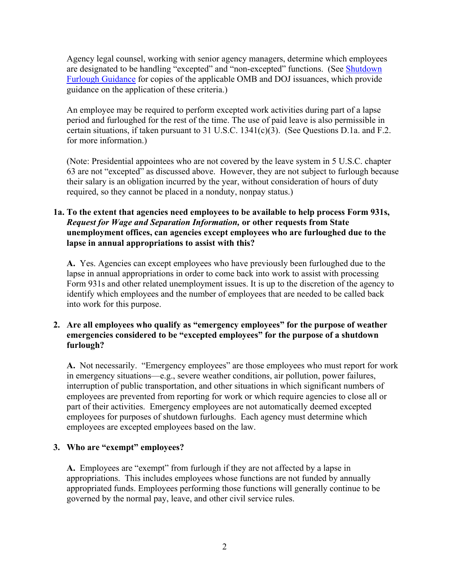Agency legal counsel, working with senior agency managers, determine which employees are designated to be handling "excepted" and "non-excepted" functions. (See [Shutdown](https://www.opm.gov/policy-data-oversight/pay-leave/furlough-guidance#url=Shutdown-Furlough)  [Furlough Guidance](https://www.opm.gov/policy-data-oversight/pay-leave/furlough-guidance#url=Shutdown-Furlough) for copies of the applicable OMB and DOJ issuances, which provide guidance on the application of these criteria.)

An employee may be required to perform excepted work activities during part of a lapse period and furloughed for the rest of the time. The use of paid leave is also permissible in certain situations, if taken pursuant to 31 U.S.C. 1341(c)(3). (See Questions D.1a. and F.2. for more information.)

(Note: Presidential appointees who are not covered by the leave system in 5 U.S.C. chapter 63 are not "excepted" as discussed above. However, they are not subject to furlough because their salary is an obligation incurred by the year, without consideration of hours of duty required, so they cannot be placed in a nonduty, nonpay status.)

#### **1a. To the extent that agencies need employees to be available to help process Form 931s,**  *Request for Wage and Separation Information,* **or other requests from State unemployment offices, can agencies except employees who are furloughed due to the lapse in annual appropriations to assist with this?**

**A.** Yes. Agencies can except employees who have previously been furloughed due to the lapse in annual appropriations in order to come back into work to assist with processing Form 931s and other related unemployment issues. It is up to the discretion of the agency to identify which employees and the number of employees that are needed to be called back into work for this purpose.

#### **2. Are all employees who qualify as "emergency employees" for the purpose of weather emergencies considered to be "excepted employees" for the purpose of a shutdown furlough?**

**A.** Not necessarily. "Emergency employees" are those employees who must report for work in emergency situations—e.g., severe weather conditions, air pollution, power failures, interruption of public transportation, and other situations in which significant numbers of employees are prevented from reporting for work or which require agencies to close all or part of their activities. Emergency employees are not automatically deemed excepted employees for purposes of shutdown furloughs. Each agency must determine which employees are excepted employees based on the law.

#### **3. Who are "exempt" employees?**

**A.** Employees are "exempt" from furlough if they are not affected by a lapse in appropriations. This includes employees whose functions are not funded by annually appropriated funds. Employees performing those functions will generally continue to be governed by the normal pay, leave, and other civil service rules.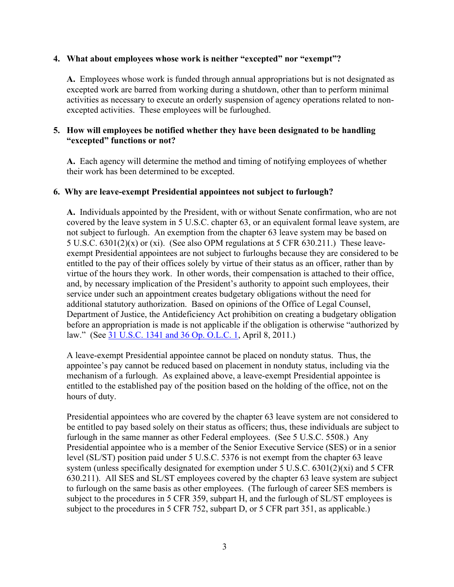#### **4. What about employees whose work is neither "excepted" nor "exempt"?**

**A.** Employees whose work is funded through annual appropriations but is not designated as excepted work are barred from working during a shutdown, other than to perform minimal activities as necessary to execute an orderly suspension of agency operations related to nonexcepted activities. These employees will be furloughed.

#### **5. How will employees be notified whether they have been designated to be handling "excepted" functions or not?**

**A.** Each agency will determine the method and timing of notifying employees of whether their work has been determined to be excepted.

#### **6. Why are leave-exempt Presidential appointees not subject to furlough?**

**A.** Individuals appointed by the President, with or without Senate confirmation, who are not covered by the leave system in 5 U.S.C. chapter 63, or an equivalent formal leave system, are not subject to furlough. An exemption from the chapter 63 leave system may be based on 5 U.S.C. 6301(2)(x) or (xi). (See also OPM regulations at 5 CFR 630.211.) These leaveexempt Presidential appointees are not subject to furloughs because they are considered to be entitled to the pay of their offices solely by virtue of their status as an officer, rather than by virtue of the hours they work. In other words, their compensation is attached to their office, and, by necessary implication of the President's authority to appoint such employees, their service under such an appointment creates budgetary obligations without the need for additional statutory authorization. Based on opinions of the Office of Legal Counsel, Department of Justice, the Antideficiency Act prohibition on creating a budgetary obligation before an appropriation is made is not applicable if the obligation is otherwise "authorized by law." (See [31 U.S.C. 1341 and 36 Op. O.L.C. 1,](http://www.justice.gov/sites/default/files/olc/opinions/2011/04/31/wh-offrs-exempt-from-leave_0.pdf) April 8, 2011.)

A leave-exempt Presidential appointee cannot be placed on nonduty status. Thus, the appointee's pay cannot be reduced based on placement in nonduty status, including via the mechanism of a furlough. As explained above, a leave-exempt Presidential appointee is entitled to the established pay of the position based on the holding of the office, not on the hours of duty.

Presidential appointees who are covered by the chapter 63 leave system are not considered to be entitled to pay based solely on their status as officers; thus, these individuals are subject to furlough in the same manner as other Federal employees. (See 5 U.S.C. 5508.) Any Presidential appointee who is a member of the Senior Executive Service (SES) or in a senior level (SL/ST) position paid under 5 U.S.C. 5376 is not exempt from the chapter 63 leave system (unless specifically designated for exemption under 5 U.S.C. 6301(2)(xi) and 5 CFR 630.211). All SES and SL/ST employees covered by the chapter 63 leave system are subject to furlough on the same basis as other employees. (The furlough of career SES members is subject to the procedures in 5 CFR 359, subpart H, and the furlough of SL/ST employees is subject to the procedures in 5 CFR 752, subpart D, or 5 CFR part 351, as applicable.)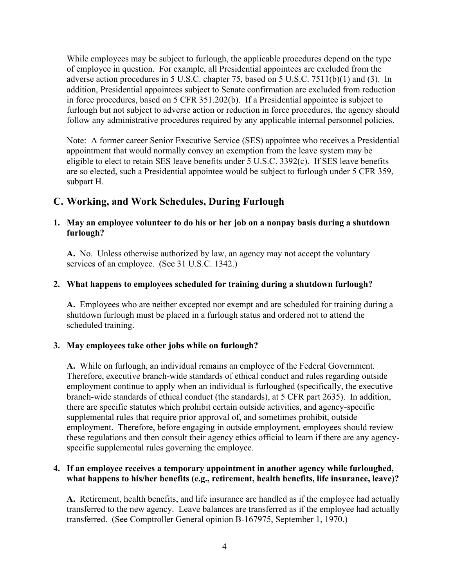While employees may be subject to furlough, the applicable procedures depend on the type of employee in question. For example, all Presidential appointees are excluded from the adverse action procedures in 5 U.S.C. chapter 75, based on 5 U.S.C. 7511(b)(1) and (3). In addition, Presidential appointees subject to Senate confirmation are excluded from reduction in force procedures, based on 5 CFR 351.202(b). If a Presidential appointee is subject to furlough but not subject to adverse action or reduction in force procedures, the agency should follow any administrative procedures required by any applicable internal personnel policies.

Note: A former career Senior Executive Service (SES) appointee who receives a Presidential appointment that would normally convey an exemption from the leave system may be eligible to elect to retain SES leave benefits under 5 U.S.C. 3392(c). If SES leave benefits are so elected, such a Presidential appointee would be subject to furlough under 5 CFR 359, subpart H.

## <span id="page-5-0"></span>**C. Working, and Work Schedules, During Furlough**

#### **1. May an employee volunteer to do his or her job on a nonpay basis during a shutdown furlough?**

**A.** No. Unless otherwise authorized by law, an agency may not accept the voluntary services of an employee. (See 31 U.S.C. 1342.)

#### **2. What happens to employees scheduled for training during a shutdown furlough?**

**A.** Employees who are neither excepted nor exempt and are scheduled for training during a shutdown furlough must be placed in a furlough status and ordered not to attend the scheduled training.

#### **3. May employees take other jobs while on furlough?**

**A.** While on furlough, an individual remains an employee of the Federal Government. Therefore, executive branch-wide standards of ethical conduct and rules regarding outside employment continue to apply when an individual is furloughed (specifically, the executive branch-wide standards of ethical conduct (the standards), at 5 CFR part 2635). In addition, there are specific statutes which prohibit certain outside activities, and agency-specific supplemental rules that require prior approval of, and sometimes prohibit, outside employment. Therefore, before engaging in outside employment, employees should review these regulations and then consult their agency ethics official to learn if there are any agencyspecific supplemental rules governing the employee.

#### **4. If an employee receives a temporary appointment in another agency while furloughed, what happens to his/her benefits (e.g., retirement, health benefits, life insurance, leave)?**

**A.** Retirement, health benefits, and life insurance are handled as if the employee had actually transferred to the new agency. Leave balances are transferred as if the employee had actually transferred. (See Comptroller General opinion B-167975, September 1, 1970.)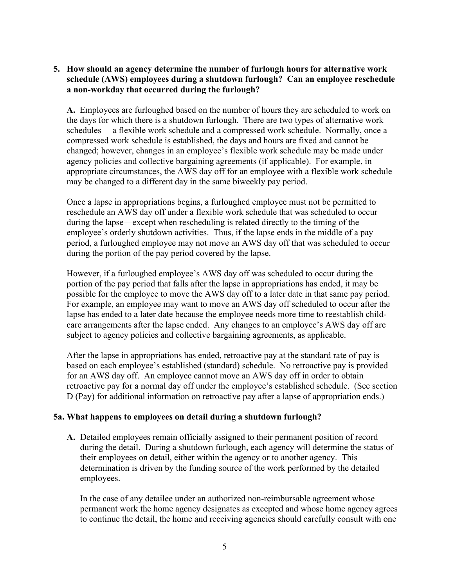#### **5. How should an agency determine the number of furlough hours for alternative work schedule (AWS) employees during a shutdown furlough? Can an employee reschedule a non-workday that occurred during the furlough?**

**A.** Employees are furloughed based on the number of hours they are scheduled to work on the days for which there is a shutdown furlough. There are two types of alternative work schedules —a flexible work schedule and a compressed work schedule. Normally, once a compressed work schedule is established, the days and hours are fixed and cannot be changed; however, changes in an employee's flexible work schedule may be made under agency policies and collective bargaining agreements (if applicable). For example, in appropriate circumstances, the AWS day off for an employee with a flexible work schedule may be changed to a different day in the same biweekly pay period.

Once a lapse in appropriations begins, a furloughed employee must not be permitted to reschedule an AWS day off under a flexible work schedule that was scheduled to occur during the lapse—except when rescheduling is related directly to the timing of the employee's orderly shutdown activities. Thus, if the lapse ends in the middle of a pay period, a furloughed employee may not move an AWS day off that was scheduled to occur during the portion of the pay period covered by the lapse.

However, if a furloughed employee's AWS day off was scheduled to occur during the portion of the pay period that falls after the lapse in appropriations has ended, it may be possible for the employee to move the AWS day off to a later date in that same pay period. For example, an employee may want to move an AWS day off scheduled to occur after the lapse has ended to a later date because the employee needs more time to reestablish childcare arrangements after the lapse ended. Any changes to an employee's AWS day off are subject to agency policies and collective bargaining agreements, as applicable.

After the lapse in appropriations has ended, retroactive pay at the standard rate of pay is based on each employee's established (standard) schedule. No retroactive pay is provided for an AWS day off. An employee cannot move an AWS day off in order to obtain retroactive pay for a normal day off under the employee's established schedule. (See section D (Pay) for additional information on retroactive pay after a lapse of appropriation ends.)

#### **5a. What happens to employees on detail during a shutdown furlough?**

**A.** Detailed employees remain officially assigned to their permanent position of record during the detail. During a shutdown furlough, each agency will determine the status of their employees on detail, either within the agency or to another agency. This determination is driven by the funding source of the work performed by the detailed employees.

In the case of any detailee under an authorized non-reimbursable agreement whose permanent work the home agency designates as excepted and whose home agency agrees to continue the detail, the home and receiving agencies should carefully consult with one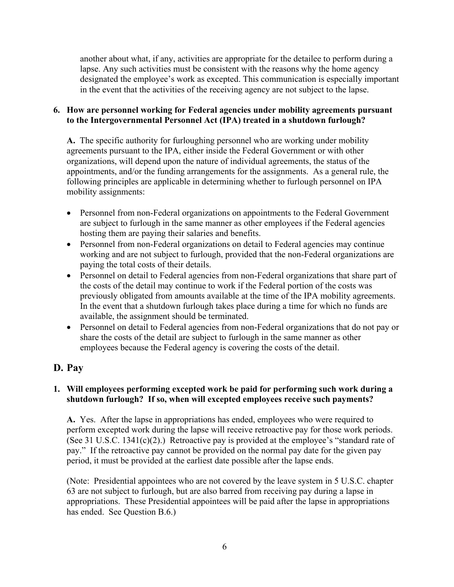another about what, if any, activities are appropriate for the detailee to perform during a lapse. Any such activities must be consistent with the reasons why the home agency designated the employee's work as excepted. This communication is especially important in the event that the activities of the receiving agency are not subject to the lapse.

#### **6. How are personnel working for Federal agencies under mobility agreements pursuant to the Intergovernmental Personnel Act (IPA) treated in a shutdown furlough?**

**A.** The specific authority for furloughing personnel who are working under mobility agreements pursuant to the IPA, either inside the Federal Government or with other organizations, will depend upon the nature of individual agreements, the status of the appointments, and/or the funding arrangements for the assignments. As a general rule, the following principles are applicable in determining whether to furlough personnel on IPA mobility assignments:

- Personnel from non-Federal organizations on appointments to the Federal Government are subject to furlough in the same manner as other employees if the Federal agencies hosting them are paying their salaries and benefits.
- Personnel from non-Federal organizations on detail to Federal agencies may continue working and are not subject to furlough, provided that the non-Federal organizations are paying the total costs of their details.
- Personnel on detail to Federal agencies from non-Federal organizations that share part of the costs of the detail may continue to work if the Federal portion of the costs was previously obligated from amounts available at the time of the IPA mobility agreements. In the event that a shutdown furlough takes place during a time for which no funds are available, the assignment should be terminated.
- Personnel on detail to Federal agencies from non-Federal organizations that do not pay or share the costs of the detail are subject to furlough in the same manner as other employees because the Federal agency is covering the costs of the detail.

## <span id="page-7-0"></span>**D. Pay**

#### **1. Will employees performing excepted work be paid for performing such work during a shutdown furlough? If so, when will excepted employees receive such payments?**

**A.** Yes. After the lapse in appropriations has ended, employees who were required to perform excepted work during the lapse will receive retroactive pay for those work periods. (See 31 U.S.C. 1341(c)(2).) Retroactive pay is provided at the employee's "standard rate of pay." If the retroactive pay cannot be provided on the normal pay date for the given pay period, it must be provided at the earliest date possible after the lapse ends.

(Note: Presidential appointees who are not covered by the leave system in 5 U.S.C. chapter 63 are not subject to furlough, but are also barred from receiving pay during a lapse in appropriations. These Presidential appointees will be paid after the lapse in appropriations has ended. See Question B.6.)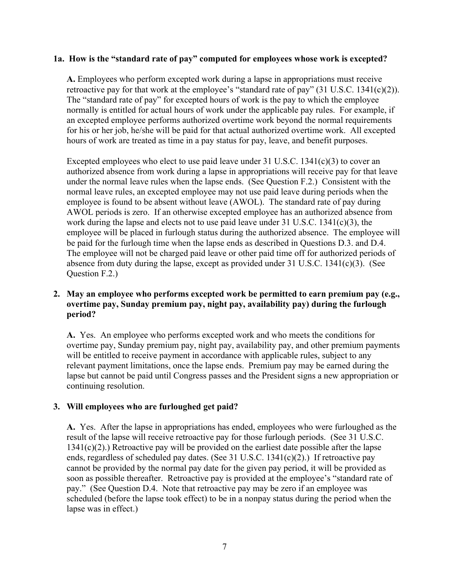#### **1a. How is the "standard rate of pay" computed for employees whose work is excepted?**

**A.** Employees who perform excepted work during a lapse in appropriations must receive retroactive pay for that work at the employee's "standard rate of pay"  $(31 \text{ U.S.C. } 1341(c)(2))$ . The "standard rate of pay" for excepted hours of work is the pay to which the employee normally is entitled for actual hours of work under the applicable pay rules. For example, if an excepted employee performs authorized overtime work beyond the normal requirements for his or her job, he/she will be paid for that actual authorized overtime work. All excepted hours of work are treated as time in a pay status for pay, leave, and benefit purposes.

Excepted employees who elect to use paid leave under 31 U.S.C. 1341(c)(3) to cover an authorized absence from work during a lapse in appropriations will receive pay for that leave under the normal leave rules when the lapse ends. (See Question F.2.) Consistent with the normal leave rules, an excepted employee may not use paid leave during periods when the employee is found to be absent without leave (AWOL). The standard rate of pay during AWOL periods is zero. If an otherwise excepted employee has an authorized absence from work during the lapse and elects not to use paid leave under 31 U.S.C. 1341(c)(3), the employee will be placed in furlough status during the authorized absence. The employee will be paid for the furlough time when the lapse ends as described in Questions D.3. and D.4. The employee will not be charged paid leave or other paid time off for authorized periods of absence from duty during the lapse, except as provided under 31 U.S.C. 1341(c)(3). (See Question F.2.)

#### **2. May an employee who performs excepted work be permitted to earn premium pay (e.g., overtime pay, Sunday premium pay, night pay, availability pay) during the furlough period?**

**A.** Yes. An employee who performs excepted work and who meets the conditions for overtime pay, Sunday premium pay, night pay, availability pay, and other premium payments will be entitled to receive payment in accordance with applicable rules, subject to any relevant payment limitations, once the lapse ends. Premium pay may be earned during the lapse but cannot be paid until Congress passes and the President signs a new appropriation or continuing resolution.

#### **3. Will employees who are furloughed get paid?**

**A.** Yes. After the lapse in appropriations has ended, employees who were furloughed as the result of the lapse will receive retroactive pay for those furlough periods. (See 31 U.S.C. 1341(c)(2).) Retroactive pay will be provided on the earliest date possible after the lapse ends, regardless of scheduled pay dates. (See 31 U.S.C. 1341(c)(2).) If retroactive pay cannot be provided by the normal pay date for the given pay period, it will be provided as soon as possible thereafter. Retroactive pay is provided at the employee's "standard rate of pay." (See Question D.4. Note that retroactive pay may be zero if an employee was scheduled (before the lapse took effect) to be in a nonpay status during the period when the lapse was in effect.)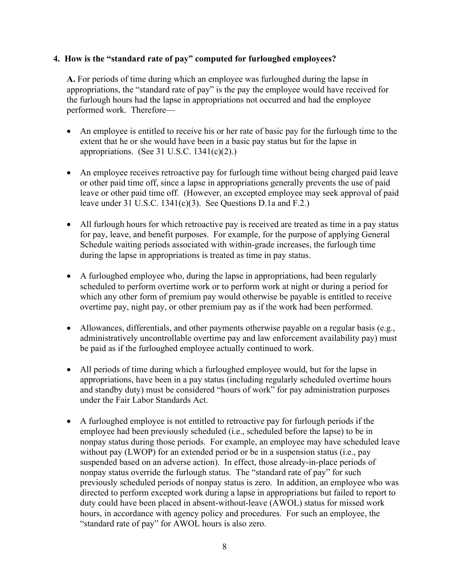#### **4. How is the "standard rate of pay" computed for furloughed employees?**

**A.** For periods of time during which an employee was furloughed during the lapse in appropriations, the "standard rate of pay" is the pay the employee would have received for the furlough hours had the lapse in appropriations not occurred and had the employee performed work. Therefore—

- An employee is entitled to receive his or her rate of basic pay for the furlough time to the extent that he or she would have been in a basic pay status but for the lapse in appropriations. (See 31 U.S.C.  $1341(c)(2)$ .)
- An employee receives retroactive pay for furlough time without being charged paid leave or other paid time off, since a lapse in appropriations generally prevents the use of paid leave or other paid time off. (However, an excepted employee may seek approval of paid leave under 31 U.S.C. 1341(c)(3). See Questions D.1a and F.2.)
- All furlough hours for which retroactive pay is received are treated as time in a pay status for pay, leave, and benefit purposes. For example, for the purpose of applying General Schedule waiting periods associated with within-grade increases, the furlough time during the lapse in appropriations is treated as time in pay status.
- A furloughed employee who, during the lapse in appropriations, had been regularly scheduled to perform overtime work or to perform work at night or during a period for which any other form of premium pay would otherwise be payable is entitled to receive overtime pay, night pay, or other premium pay as if the work had been performed.
- Allowances, differentials, and other payments otherwise payable on a regular basis (e.g., administratively uncontrollable overtime pay and law enforcement availability pay) must be paid as if the furloughed employee actually continued to work.
- All periods of time during which a furloughed employee would, but for the lapse in appropriations, have been in a pay status (including regularly scheduled overtime hours and standby duty) must be considered "hours of work" for pay administration purposes under the Fair Labor Standards Act.
- A furloughed employee is not entitled to retroactive pay for furlough periods if the employee had been previously scheduled (i.e., scheduled before the lapse) to be in nonpay status during those periods. For example, an employee may have scheduled leave without pay (LWOP) for an extended period or be in a suspension status (i.e., pay suspended based on an adverse action). In effect, those already-in-place periods of nonpay status override the furlough status. The "standard rate of pay" for such previously scheduled periods of nonpay status is zero. In addition, an employee who was directed to perform excepted work during a lapse in appropriations but failed to report to duty could have been placed in absent-without-leave (AWOL) status for missed work hours, in accordance with agency policy and procedures. For such an employee, the "standard rate of pay" for AWOL hours is also zero.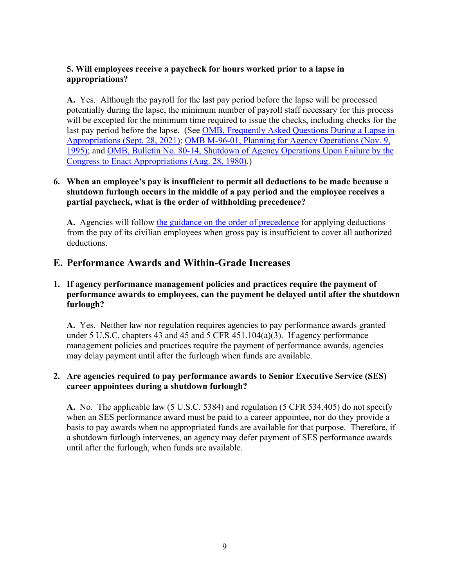#### **5. Will employees receive a paycheck for hours worked prior to a lapse in appropriations?**

**A.** Yes. Although the payroll for the last pay period before the lapse will be processed potentially during the lapse, the minimum number of payroll staff necessary for this process will be excepted for the minimum time required to issue the checks, including checks for the last pay period before the lapse. (See OMB, Frequently Asked Questions During a Lapse in [Appropriations \(Sept. 28, 2021\);](https://www.whitehouse.gov/wp-content/uploads/2021/09/Agency-Lapse-FAQs-9-28-21.pdf) [OMB M-96-01, Planning for Agency Operations \(Nov. 9,](https://obamawhitehouse.archives.gov/sites/default/files/omb/assets/omb/memoranda/m96-01.pdf)  [1995\);](https://obamawhitehouse.archives.gov/sites/default/files/omb/assets/omb/memoranda/m96-01.pdf) and [OMB, Bulletin No. 80-14, Shutdown of Agency Operations Upon Failure by the](https://www.opm.gov/policy-data-oversight/pay-leave/furlough-guidance/attachment_a-5.pdf)  [Congress to Enact Appropriations \(Aug. 28, 1980\).](https://www.opm.gov/policy-data-oversight/pay-leave/furlough-guidance/attachment_a-5.pdf))

#### **6. When an employee's pay is insufficient to permit all deductions to be made because a shutdown furlough occurs in the middle of a pay period and the employee receives a partial paycheck, what is the order of withholding precedence?**

**A.** Agencies will follow [the guidance on the order of precedence](https://www.chcoc.gov/content/ppm-2008-01-order-precedence-when-gross-pay-not-sufficient-permit-all-deductions) for applying deductions from the pay of its civilian employees when gross pay is insufficient to cover all authorized deductions.

## <span id="page-10-0"></span>**E. Performance Awards and Within-Grade Increases**

#### **1. If agency performance management policies and practices require the payment of performance awards to employees, can the payment be delayed until after the shutdown furlough?**

**A.** Yes. Neither law nor regulation requires agencies to pay performance awards granted under 5 U.S.C. chapters 43 and 45 and 5 CFR 451.104(a)(3). If agency performance management policies and practices require the payment of performance awards, agencies may delay payment until after the furlough when funds are available.

#### **2. Are agencies required to pay performance awards to Senior Executive Service (SES) career appointees during a shutdown furlough?**

**A.** No. The applicable law (5 U.S.C. 5384) and regulation (5 CFR 534.405) do not specify when an SES performance award must be paid to a career appointee, nor do they provide a basis to pay awards when no appropriated funds are available for that purpose. Therefore, if a shutdown furlough intervenes, an agency may defer payment of SES performance awards until after the furlough, when funds are available.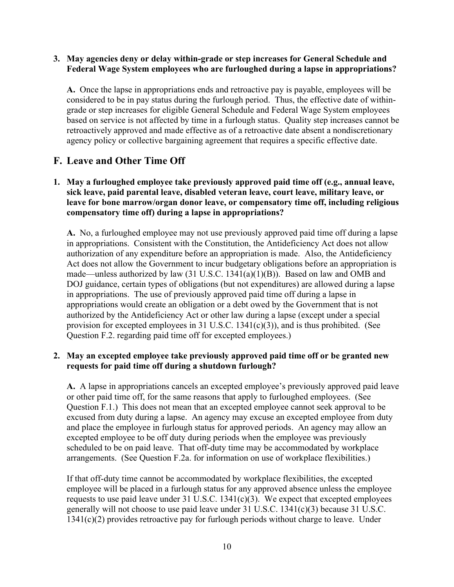#### **3. May agencies deny or delay within-grade or step increases for General Schedule and Federal Wage System employees who are furloughed during a lapse in appropriations?**

**A.** Once the lapse in appropriations ends and retroactive pay is payable, employees will be considered to be in pay status during the furlough period. Thus, the effective date of withingrade or step increases for eligible General Schedule and Federal Wage System employees based on service is not affected by time in a furlough status. Quality step increases cannot be retroactively approved and made effective as of a retroactive date absent a nondiscretionary agency policy or collective bargaining agreement that requires a specific effective date.

## <span id="page-11-0"></span>**F. Leave and Other Time Off**

#### **1. May a furloughed employee take previously approved paid time off (e.g., annual leave, sick leave, paid parental leave, disabled veteran leave, court leave, military leave, or leave for bone marrow/organ donor leave, or compensatory time off, including religious compensatory time off) during a lapse in appropriations?**

**A.** No, a furloughed employee may not use previously approved paid time off during a lapse in appropriations. Consistent with the Constitution, the Antideficiency Act does not allow authorization of any expenditure before an appropriation is made. Also, the Antideficiency Act does not allow the Government to incur budgetary obligations before an appropriation is made—unless authorized by law (31 U.S.C. 1341(a)(1)(B)). Based on law and OMB and DOJ guidance, certain types of obligations (but not expenditures) are allowed during a lapse in appropriations. The use of previously approved paid time off during a lapse in appropriations would create an obligation or a debt owed by the Government that is not authorized by the Antideficiency Act or other law during a lapse (except under a special provision for excepted employees in 31 U.S.C. 1341(c)(3)), and is thus prohibited. (See Question F.2. regarding paid time off for excepted employees.)

#### **2. May an excepted employee take previously approved paid time off or be granted new requests for paid time off during a shutdown furlough?**

**A.** A lapse in appropriations cancels an excepted employee's previously approved paid leave or other paid time off, for the same reasons that apply to furloughed employees. (See Question F.1.) This does not mean that an excepted employee cannot seek approval to be excused from duty during a lapse. An agency may excuse an excepted employee from duty and place the employee in furlough status for approved periods. An agency may allow an excepted employee to be off duty during periods when the employee was previously scheduled to be on paid leave. That off-duty time may be accommodated by workplace arrangements. (See Question F.2a. for information on use of workplace flexibilities.)

If that off-duty time cannot be accommodated by workplace flexibilities, the excepted employee will be placed in a furlough status for any approved absence unless the employee requests to use paid leave under 31 U.S.C.  $1341(c)(3)$ . We expect that excepted employees generally will not choose to use paid leave under 31 U.S.C. 1341(c)(3) because 31 U.S.C. 1341(c)(2) provides retroactive pay for furlough periods without charge to leave. Under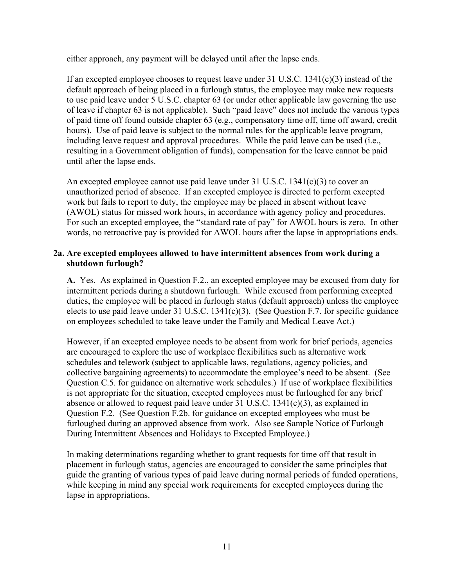either approach, any payment will be delayed until after the lapse ends.

If an excepted employee chooses to request leave under 31 U.S.C. 1341(c)(3) instead of the default approach of being placed in a furlough status, the employee may make new requests to use paid leave under 5 U.S.C. chapter 63 (or under other applicable law governing the use of leave if chapter 63 is not applicable). Such "paid leave" does not include the various types of paid time off found outside chapter 63 (e.g., compensatory time off, time off award, credit hours). Use of paid leave is subject to the normal rules for the applicable leave program, including leave request and approval procedures. While the paid leave can be used (i.e., resulting in a Government obligation of funds), compensation for the leave cannot be paid until after the lapse ends.

An excepted employee cannot use paid leave under  $31 \text{ U.S.C. } 1341(c)(3)$  to cover an unauthorized period of absence. If an excepted employee is directed to perform excepted work but fails to report to duty, the employee may be placed in absent without leave (AWOL) status for missed work hours, in accordance with agency policy and procedures. For such an excepted employee, the "standard rate of pay" for AWOL hours is zero. In other words, no retroactive pay is provided for AWOL hours after the lapse in appropriations ends.

#### **2a. Are excepted employees allowed to have intermittent absences from work during a shutdown furlough?**

**A.** Yes. As explained in Question F.2., an excepted employee may be excused from duty for intermittent periods during a shutdown furlough. While excused from performing excepted duties, the employee will be placed in furlough status (default approach) unless the employee elects to use paid leave under 31 U.S.C. 1341(c)(3). (See Question F.7. for specific guidance on employees scheduled to take leave under the Family and Medical Leave Act.)

However, if an excepted employee needs to be absent from work for brief periods, agencies are encouraged to explore the use of workplace flexibilities such as alternative work schedules and telework (subject to applicable laws, regulations, agency policies, and collective bargaining agreements) to accommodate the employee's need to be absent. (See Question C.5. for guidance on alternative work schedules.) If use of workplace flexibilities is not appropriate for the situation, excepted employees must be furloughed for any brief absence or allowed to request paid leave under 31 U.S.C. 1341(c)(3), as explained in Question F.2. (See Question F.2b. for guidance on excepted employees who must be furloughed during an approved absence from work. Also see Sample Notice of Furlough During Intermittent Absences and Holidays to Excepted Employee.)

In making determinations regarding whether to grant requests for time off that result in placement in furlough status, agencies are encouraged to consider the same principles that guide the granting of various types of paid leave during normal periods of funded operations, while keeping in mind any special work requirements for excepted employees during the lapse in appropriations.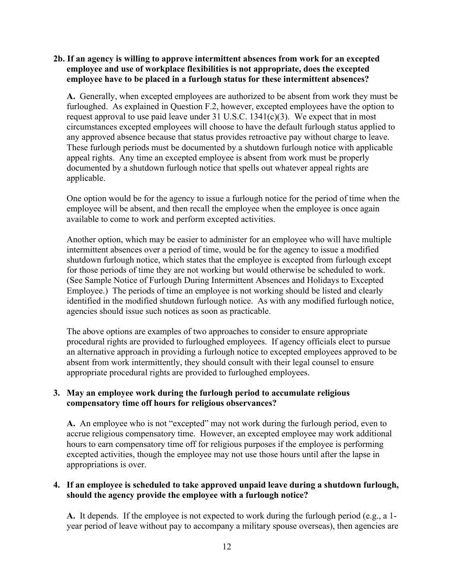#### **2b. If an agency is willing to approve intermittent absences from work for an excepted employee and use of workplace flexibilities is not appropriate, does the excepted employee have to be placed in a furlough status for these intermittent absences?**

**A.** Generally, when excepted employees are authorized to be absent from work they must be furloughed. As explained in Question F.2, however, excepted employees have the option to request approval to use paid leave under  $31$  U.S.C.  $1341(c)(3)$ . We expect that in most circumstances excepted employees will choose to have the default furlough status applied to any approved absence because that status provides retroactive pay without charge to leave. These furlough periods must be documented by a shutdown furlough notice with applicable appeal rights. Any time an excepted employee is absent from work must be properly documented by a shutdown furlough notice that spells out whatever appeal rights are applicable.

One option would be for the agency to issue a furlough notice for the period of time when the employee will be absent, and then recall the employee when the employee is once again available to come to work and perform excepted activities.

Another option, which may be easier to administer for an employee who will have multiple intermittent absences over a period of time, would be for the agency to issue a modified shutdown furlough notice, which states that the employee is excepted from furlough except for those periods of time they are not working but would otherwise be scheduled to work. (See Sample Notice of Furlough During Intermittent Absences and Holidays to Excepted Employee.) The periods of time an employee is not working should be listed and clearly identified in the modified shutdown furlough notice. As with any modified furlough notice, agencies should issue such notices as soon as practicable.

The above options are examples of two approaches to consider to ensure appropriate procedural rights are provided to furloughed employees. If agency officials elect to pursue an alternative approach in providing a furlough notice to excepted employees approved to be absent from work intermittently, they should consult with their legal counsel to ensure appropriate procedural rights are provided to furloughed employees.

#### **3. May an employee work during the furlough period to accumulate religious compensatory time off hours for religious observances?**

**A.** An employee who is not "excepted" may not work during the furlough period, even to accrue religious compensatory time. However, an excepted employee may work additional hours to earn compensatory time off for religious purposes if the employee is performing excepted activities, though the employee may not use those hours until after the lapse in appropriations is over.

#### **4. If an employee is scheduled to take approved unpaid leave during a shutdown furlough, should the agency provide the employee with a furlough notice?**

**A.** It depends. If the employee is not expected to work during the furlough period (e.g., a 1 year period of leave without pay to accompany a military spouse overseas), then agencies are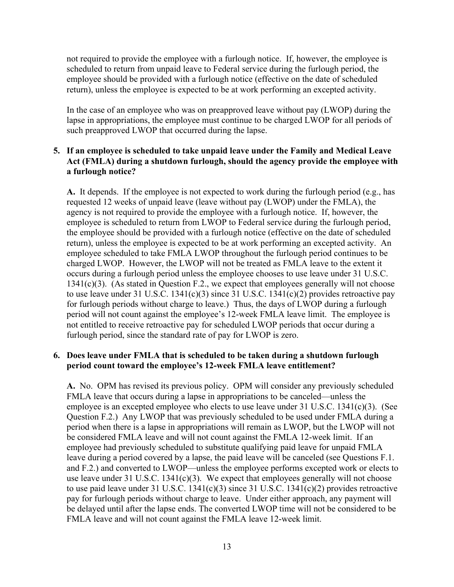not required to provide the employee with a furlough notice. If, however, the employee is scheduled to return from unpaid leave to Federal service during the furlough period, the employee should be provided with a furlough notice (effective on the date of scheduled return), unless the employee is expected to be at work performing an excepted activity.

In the case of an employee who was on preapproved leave without pay (LWOP) during the lapse in appropriations, the employee must continue to be charged LWOP for all periods of such preapproved LWOP that occurred during the lapse.

#### **5. If an employee is scheduled to take unpaid leave under the Family and Medical Leave Act (FMLA) during a shutdown furlough, should the agency provide the employee with a furlough notice?**

**A.** It depends. If the employee is not expected to work during the furlough period (e.g., has requested 12 weeks of unpaid leave (leave without pay (LWOP) under the FMLA), the agency is not required to provide the employee with a furlough notice. If, however, the employee is scheduled to return from LWOP to Federal service during the furlough period, the employee should be provided with a furlough notice (effective on the date of scheduled return), unless the employee is expected to be at work performing an excepted activity. An employee scheduled to take FMLA LWOP throughout the furlough period continues to be charged LWOP. However, the LWOP will not be treated as FMLA leave to the extent it occurs during a furlough period unless the employee chooses to use leave under 31 U.S.C. 1341(c)(3). (As stated in Question F.2., we expect that employees generally will not choose to use leave under 31 U.S.C. 1341(c)(3) since 31 U.S.C. 1341(c)(2) provides retroactive pay for furlough periods without charge to leave.) Thus, the days of LWOP during a furlough period will not count against the employee's 12-week FMLA leave limit. The employee is not entitled to receive retroactive pay for scheduled LWOP periods that occur during a furlough period, since the standard rate of pay for LWOP is zero.

#### **6. Does leave under FMLA that is scheduled to be taken during a shutdown furlough period count toward the employee's 12-week FMLA leave entitlement?**

**A.** No. OPM has revised its previous policy. OPM will consider any previously scheduled FMLA leave that occurs during a lapse in appropriations to be canceled—unless the employee is an excepted employee who elects to use leave under 31 U.S.C. 1341(c)(3). (See Question F.2.) Any LWOP that was previously scheduled to be used under FMLA during a period when there is a lapse in appropriations will remain as LWOP, but the LWOP will not be considered FMLA leave and will not count against the FMLA 12-week limit. If an employee had previously scheduled to substitute qualifying paid leave for unpaid FMLA leave during a period covered by a lapse, the paid leave will be canceled (see Questions F.1. and F.2.) and converted to LWOP—unless the employee performs excepted work or elects to use leave under  $31$  U.S.C.  $1341(c)(3)$ . We expect that employees generally will not choose to use paid leave under 31 U.S.C.  $1341(c)(3)$  since 31 U.S.C.  $1341(c)(2)$  provides retroactive pay for furlough periods without charge to leave. Under either approach, any payment will be delayed until after the lapse ends. The converted LWOP time will not be considered to be FMLA leave and will not count against the FMLA leave 12-week limit.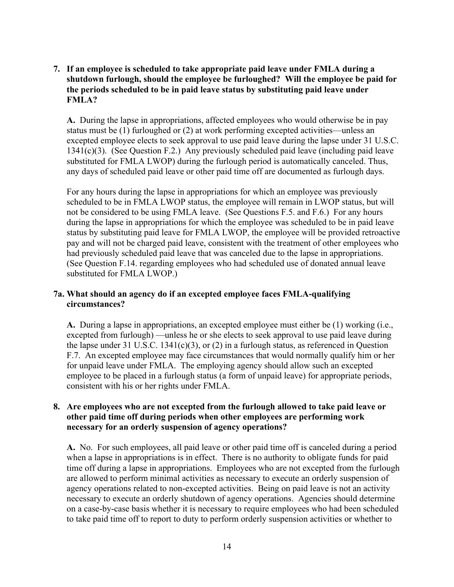**7. If an employee is scheduled to take appropriate paid leave under FMLA during a shutdown furlough, should the employee be furloughed? Will the employee be paid for the periods scheduled to be in paid leave status by substituting paid leave under FMLA?** 

**A.** During the lapse in appropriations, affected employees who would otherwise be in pay status must be (1) furloughed or (2) at work performing excepted activities—unless an excepted employee elects to seek approval to use paid leave during the lapse under 31 U.S.C. 1341(c)(3). (See Question F.2.) Any previously scheduled paid leave (including paid leave substituted for FMLA LWOP) during the furlough period is automatically canceled. Thus, any days of scheduled paid leave or other paid time off are documented as furlough days.

For any hours during the lapse in appropriations for which an employee was previously scheduled to be in FMLA LWOP status, the employee will remain in LWOP status, but will not be considered to be using FMLA leave. (See Questions F.5. and F.6.) For any hours during the lapse in appropriations for which the employee was scheduled to be in paid leave status by substituting paid leave for FMLA LWOP, the employee will be provided retroactive pay and will not be charged paid leave, consistent with the treatment of other employees who had previously scheduled paid leave that was canceled due to the lapse in appropriations. (See Question F.14. regarding employees who had scheduled use of donated annual leave substituted for FMLA LWOP.)

#### **7a. What should an agency do if an excepted employee faces FMLA-qualifying circumstances?**

**A.** During a lapse in appropriations, an excepted employee must either be (1) working (i.e., excepted from furlough) —unless he or she elects to seek approval to use paid leave during the lapse under 31 U.S.C. 1341(c)(3), or (2) in a furlough status, as referenced in Question F.7. An excepted employee may face circumstances that would normally qualify him or her for unpaid leave under FMLA. The employing agency should allow such an excepted employee to be placed in a furlough status (a form of unpaid leave) for appropriate periods, consistent with his or her rights under FMLA.

#### **8. Are employees who are not excepted from the furlough allowed to take paid leave or other paid time off during periods when other employees are performing work necessary for an orderly suspension of agency operations?**

**A.** No. For such employees, all paid leave or other paid time off is canceled during a period when a lapse in appropriations is in effect. There is no authority to obligate funds for paid time off during a lapse in appropriations. Employees who are not excepted from the furlough are allowed to perform minimal activities as necessary to execute an orderly suspension of agency operations related to non-excepted activities. Being on paid leave is not an activity necessary to execute an orderly shutdown of agency operations. Agencies should determine on a case-by-case basis whether it is necessary to require employees who had been scheduled to take paid time off to report to duty to perform orderly suspension activities or whether to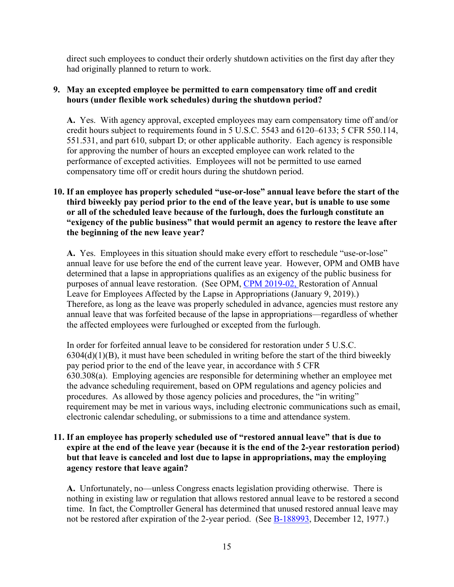direct such employees to conduct their orderly shutdown activities on the first day after they had originally planned to return to work.

#### **9. May an excepted employee be permitted to earn compensatory time off and credit hours (under flexible work schedules) during the shutdown period?**

**A.** Yes. With agency approval, excepted employees may earn compensatory time off and/or credit hours subject to requirements found in 5 U.S.C. 5543 and 6120–6133; 5 CFR 550.114, 551.531, and part 610, subpart D; or other applicable authority. Each agency is responsible for approving the number of hours an excepted employee can work related to the performance of excepted activities. Employees will not be permitted to use earned compensatory time off or credit hours during the shutdown period.

#### **10. If an employee has properly scheduled "use-or-lose" annual leave before the start of the third biweekly pay period prior to the end of the leave year, but is unable to use some or all of the scheduled leave because of the furlough, does the furlough constitute an "exigency of the public business" that would permit an agency to restore the leave after the beginning of the new leave year?**

**A.** Yes. Employees in this situation should make every effort to reschedule "use-or-lose" annual leave for use before the end of the current leave year. However, OPM and OMB have determined that a lapse in appropriations qualifies as an exigency of the public business for purposes of annual leave restoration. (See OPM, [CPM 2019-02,](https://chcoc.gov/content/restoration-annual-leave-employees-affected-lapse-appropriations) Restoration of Annual Leave for Employees Affected by the Lapse in Appropriations (January 9, 2019).) Therefore, as long as the leave was properly scheduled in advance, agencies must restore any annual leave that was forfeited because of the lapse in appropriations—regardless of whether the affected employees were furloughed or excepted from the furlough.

In order for forfeited annual leave to be considered for restoration under 5 U.S.C.  $6304(d)(1)(B)$ , it must have been scheduled in writing before the start of the third biweekly pay period prior to the end of the leave year, in accordance with 5 CFR 630.308(a). Employing agencies are responsible for determining whether an employee met the advance scheduling requirement, based on OPM regulations and agency policies and procedures. As allowed by those agency policies and procedures, the "in writing" requirement may be met in various ways, including electronic communications such as email, electronic calendar scheduling, or submissions to a time and attendance system.

#### **11. If an employee has properly scheduled use of "restored annual leave" that is due to expire at the end of the leave year (because it is the end of the 2-year restoration period) but that leave is canceled and lost due to lapse in appropriations, may the employing agency restore that leave again?**

**A.** Unfortunately, no—unless Congress enacts legislation providing otherwise. There is nothing in existing law or regulation that allows restored annual leave to be restored a second time. In fact, the Comptroller General has determined that unused restored annual leave may not be restored after expiration of the 2-year period. (See **B**-188993, December 12, 1977.)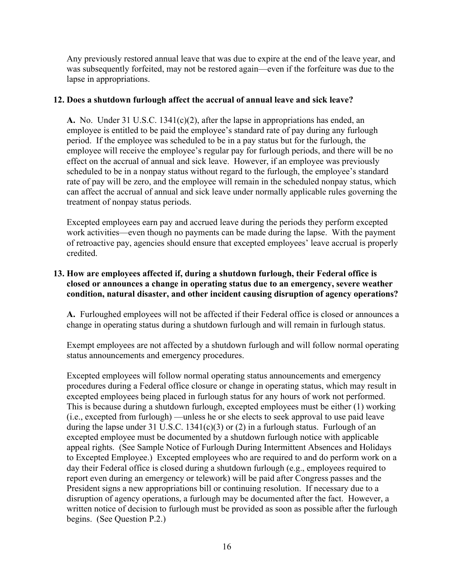Any previously restored annual leave that was due to expire at the end of the leave year, and was subsequently forfeited, may not be restored again—even if the forfeiture was due to the lapse in appropriations.

#### **12. Does a shutdown furlough affect the accrual of annual leave and sick leave?**

**A.** No. Under 31 U.S.C. 1341(c)(2), after the lapse in appropriations has ended, an employee is entitled to be paid the employee's standard rate of pay during any furlough period. If the employee was scheduled to be in a pay status but for the furlough, the employee will receive the employee's regular pay for furlough periods, and there will be no effect on the accrual of annual and sick leave. However, if an employee was previously scheduled to be in a nonpay status without regard to the furlough, the employee's standard rate of pay will be zero, and the employee will remain in the scheduled nonpay status, which can affect the accrual of annual and sick leave under normally applicable rules governing the treatment of nonpay status periods.

Excepted employees earn pay and accrued leave during the periods they perform excepted work activities—even though no payments can be made during the lapse. With the payment of retroactive pay, agencies should ensure that excepted employees' leave accrual is properly credited.

#### **13. How are employees affected if, during a shutdown furlough, their Federal office is closed or announces a change in operating status due to an emergency, severe weather condition, natural disaster, and other incident causing disruption of agency operations?**

**A.** Furloughed employees will not be affected if their Federal office is closed or announces a change in operating status during a shutdown furlough and will remain in furlough status.

Exempt employees are not affected by a shutdown furlough and will follow normal operating status announcements and emergency procedures.

Excepted employees will follow normal operating status announcements and emergency procedures during a Federal office closure or change in operating status, which may result in excepted employees being placed in furlough status for any hours of work not performed. This is because during a shutdown furlough, excepted employees must be either (1) working (i.e., excepted from furlough) —unless he or she elects to seek approval to use paid leave during the lapse under 31 U.S.C.  $1341(c)(3)$  or (2) in a furlough status. Furlough of an excepted employee must be documented by a shutdown furlough notice with applicable appeal rights. (See Sample Notice of Furlough During Intermittent Absences and Holidays to Excepted Employee.) Excepted employees who are required to and do perform work on a day their Federal office is closed during a shutdown furlough (e.g., employees required to report even during an emergency or telework) will be paid after Congress passes and the President signs a new appropriations bill or continuing resolution. If necessary due to a disruption of agency operations, a furlough may be documented after the fact. However, a written notice of decision to furlough must be provided as soon as possible after the furlough begins. (See Question P.2.)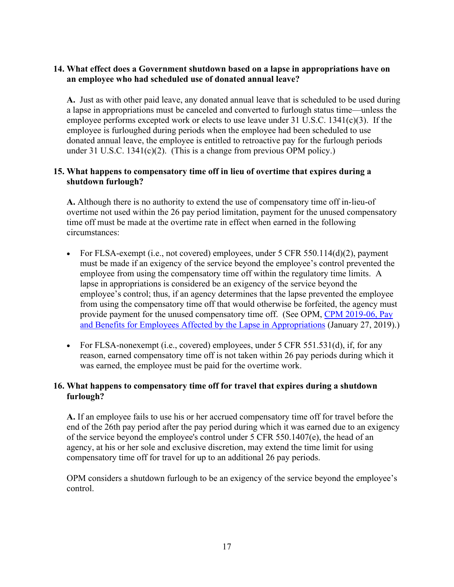#### **14. What effect does a Government shutdown based on a lapse in appropriations have on an employee who had scheduled use of donated annual leave?**

**A.** Just as with other paid leave, any donated annual leave that is scheduled to be used during a lapse in appropriations must be canceled and converted to furlough status time—unless the employee performs excepted work or elects to use leave under 31 U.S.C. 1341(c)(3). If the employee is furloughed during periods when the employee had been scheduled to use donated annual leave, the employee is entitled to retroactive pay for the furlough periods under 31 U.S.C. 1341(c)(2). (This is a change from previous OPM policy.)

#### **15. What happens to compensatory time off in lieu of overtime that expires during a shutdown furlough?**

**A.** Although there is no authority to extend the use of compensatory time off in-lieu-of overtime not used within the 26 pay period limitation, payment for the unused compensatory time off must be made at the overtime rate in effect when earned in the following circumstances:

- For FLSA-exempt (i.e., not covered) employees, under  $5 \text{ CFR } 550.114(d)(2)$ , payment must be made if an exigency of the service beyond the employee's control prevented the employee from using the compensatory time off within the regulatory time limits. A lapse in appropriations is considered be an exigency of the service beyond the employee's control; thus, if an agency determines that the lapse prevented the employee from using the compensatory time off that would otherwise be forfeited, the agency must provide payment for the unused compensatory time off. (See OPM, CPM 2019-06, Pay [and Benefits for Employees Affected by the Lapse in Appropriations](https://chcoc.gov/content/pay-and-benefits-employees-affected-lapse-appropriations-1) (January 27, 2019).)
- For FLSA-nonexempt (i.e., covered) employees, under 5 CFR 551.531(d), if, for any reason, earned compensatory time off is not taken within 26 pay periods during which it was earned, the employee must be paid for the overtime work.

#### **16. What happens to compensatory time off for travel that expires during a shutdown furlough?**

**A.** If an employee fails to use his or her accrued compensatory time off for travel before the end of the 26th pay period after the pay period during which it was earned due to an exigency of the service beyond the employee's control under 5 CFR 550.1407(e), the head of an agency, at his or her sole and exclusive discretion, may extend the time limit for using compensatory time off for travel for up to an additional 26 pay periods.

OPM considers a shutdown furlough to be an exigency of the service beyond the employee's control.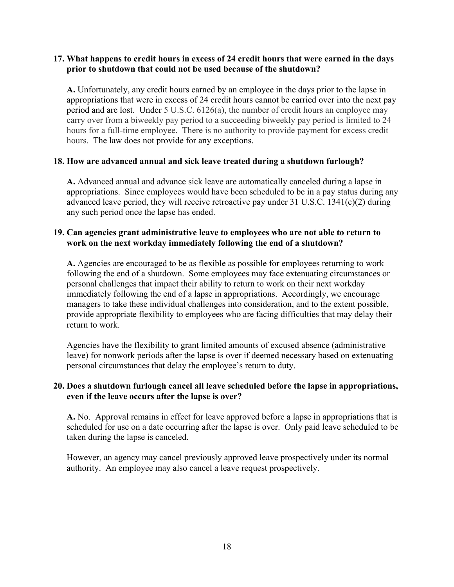#### **17. What happens to credit hours in excess of 24 credit hours that were earned in the days prior to shutdown that could not be used because of the shutdown?**

**A.** Unfortunately, any credit hours earned by an employee in the days prior to the lapse in appropriations that were in excess of 24 credit hours cannot be carried over into the next pay period and are lost. Under 5 U.S.C. 6126(a), the number of credit hours an employee may carry over from a biweekly pay period to a succeeding biweekly pay period is limited to 24 hours for a full-time employee. There is no authority to provide payment for excess credit hours. The law does not provide for any exceptions.

#### **18. How are advanced annual and sick leave treated during a shutdown furlough?**

**A.** Advanced annual and advance sick leave are automatically canceled during a lapse in appropriations. Since employees would have been scheduled to be in a pay status during any advanced leave period, they will receive retroactive pay under 31 U.S.C. 1341(c)(2) during any such period once the lapse has ended.

#### **19. Can agencies grant administrative leave to employees who are not able to return to work on the next workday immediately following the end of a shutdown?**

**A.** Agencies are encouraged to be as flexible as possible for employees returning to work following the end of a shutdown. Some employees may face extenuating circumstances or personal challenges that impact their ability to return to work on their next workday immediately following the end of a lapse in appropriations. Accordingly, we encourage managers to take these individual challenges into consideration, and to the extent possible, provide appropriate flexibility to employees who are facing difficulties that may delay their return to work.

Agencies have the flexibility to grant limited amounts of excused absence (administrative leave) for nonwork periods after the lapse is over if deemed necessary based on extenuating personal circumstances that delay the employee's return to duty.

#### **20. Does a shutdown furlough cancel all leave scheduled before the lapse in appropriations, even if the leave occurs after the lapse is over?**

**A.** No. Approval remains in effect for leave approved before a lapse in appropriations that is scheduled for use on a date occurring after the lapse is over. Only paid leave scheduled to be taken during the lapse is canceled.

<span id="page-19-0"></span>However, an agency may cancel previously approved leave prospectively under its normal authority. An employee may also cancel a leave request prospectively.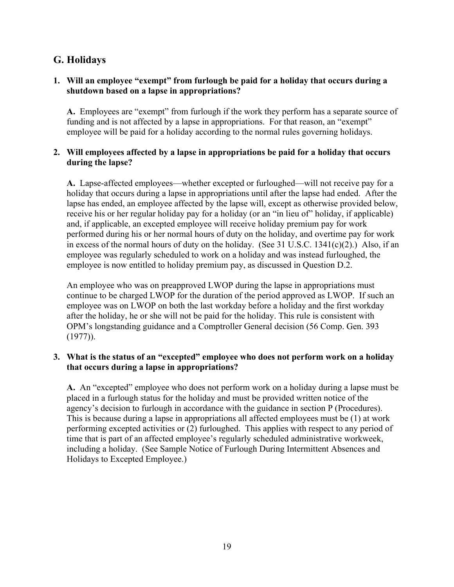## **G. Holidays**

#### **1. Will an employee "exempt" from furlough be paid for a holiday that occurs during a shutdown based on a lapse in appropriations?**

**A.** Employees are "exempt" from furlough if the work they perform has a separate source of funding and is not affected by a lapse in appropriations. For that reason, an "exempt" employee will be paid for a holiday according to the normal rules governing holidays.

#### **2. Will employees affected by a lapse in appropriations be paid for a holiday that occurs during the lapse?**

**A.** Lapse-affected employees—whether excepted or furloughed—will not receive pay for a holiday that occurs during a lapse in appropriations until after the lapse had ended. After the lapse has ended, an employee affected by the lapse will, except as otherwise provided below, receive his or her regular holiday pay for a holiday (or an "in lieu of" holiday, if applicable) and, if applicable, an excepted employee will receive holiday premium pay for work performed during his or her normal hours of duty on the holiday, and overtime pay for work in excess of the normal hours of duty on the holiday. (See 31 U.S.C. 1341(c)(2).) Also, if an employee was regularly scheduled to work on a holiday and was instead furloughed, the employee is now entitled to holiday premium pay, as discussed in Question D.2.

An employee who was on preapproved LWOP during the lapse in appropriations must continue to be charged LWOP for the duration of the period approved as LWOP. If such an employee was on LWOP on both the last workday before a holiday and the first workday after the holiday, he or she will not be paid for the holiday. This rule is consistent with OPM's longstanding guidance and a Comptroller General decision (56 Comp. Gen. 393 (1977)).

#### **3. What is the status of an "excepted" employee who does not perform work on a holiday that occurs during a lapse in appropriations?**

**A.** An "excepted" employee who does not perform work on a holiday during a lapse must be placed in a furlough status for the holiday and must be provided written notice of the agency's decision to furlough in accordance with the guidance in section P (Procedures). This is because during a lapse in appropriations all affected employees must be (1) at work performing excepted activities or (2) furloughed. This applies with respect to any period of time that is part of an affected employee's regularly scheduled administrative workweek, including a holiday. (See Sample Notice of Furlough During Intermittent Absences and Holidays to Excepted Employee.)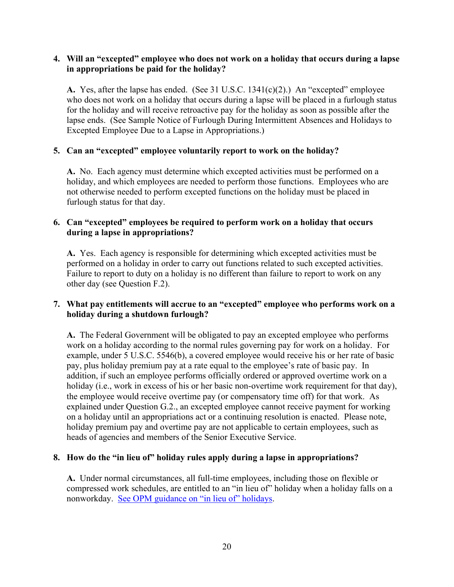#### **4. Will an "excepted" employee who does not work on a holiday that occurs during a lapse in appropriations be paid for the holiday?**

**A.** Yes, after the lapse has ended. (See 31 U.S.C. 1341(c)(2).) An "excepted" employee who does not work on a holiday that occurs during a lapse will be placed in a furlough status for the holiday and will receive retroactive pay for the holiday as soon as possible after the lapse ends. (See Sample Notice of Furlough During Intermittent Absences and Holidays to Excepted Employee Due to a Lapse in Appropriations.)

#### **5. Can an "excepted" employee voluntarily report to work on the holiday?**

**A.** No. Each agency must determine which excepted activities must be performed on a holiday, and which employees are needed to perform those functions. Employees who are not otherwise needed to perform excepted functions on the holiday must be placed in furlough status for that day.

#### **6. Can "excepted" employees be required to perform work on a holiday that occurs during a lapse in appropriations?**

**A.** Yes. Each agency is responsible for determining which excepted activities must be performed on a holiday in order to carry out functions related to such excepted activities. Failure to report to duty on a holiday is no different than failure to report to work on any other day (see Question F.2).

#### **7. What pay entitlements will accrue to an "excepted" employee who performs work on a holiday during a shutdown furlough?**

**A.** The Federal Government will be obligated to pay an excepted employee who performs work on a holiday according to the normal rules governing pay for work on a holiday. For example, under 5 U.S.C. 5546(b), a covered employee would receive his or her rate of basic pay, plus holiday premium pay at a rate equal to the employee's rate of basic pay. In addition, if such an employee performs officially ordered or approved overtime work on a holiday (i.e., work in excess of his or her basic non-overtime work requirement for that day), the employee would receive overtime pay (or compensatory time off) for that work. As explained under Question G.2., an excepted employee cannot receive payment for working on a holiday until an appropriations act or a continuing resolution is enacted. Please note, holiday premium pay and overtime pay are not applicable to certain employees, such as heads of agencies and members of the Senior Executive Service.

#### **8. How do the "in lieu of" holiday rules apply during a lapse in appropriations?**

**A.** Under normal circumstances, all full-time employees, including those on flexible or compressed work schedules, are entitled to an "in lieu of" holiday when a holiday falls on a nonworkday. [See OPM guidance on "in lieu of" holidays.](https://www.opm.gov/policy-data-oversight/pay-leave/work-schedules/fact-sheets/Federal-Holidays-In-Lieu-Of-Determination)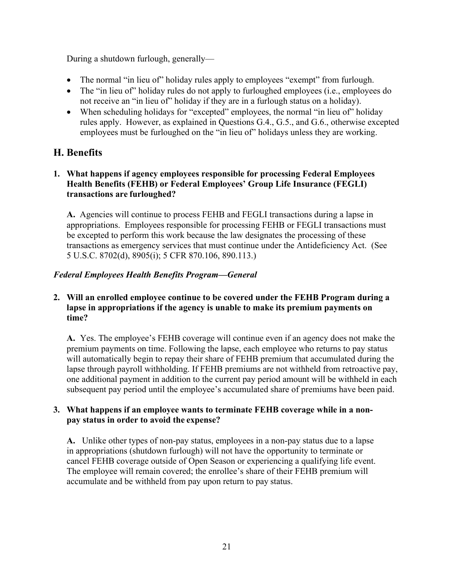During a shutdown furlough, generally—

- The normal "in lieu of" holiday rules apply to employees "exempt" from furlough.
- The "in lieu of" holiday rules do not apply to furloughed employees (i.e., employees do not receive an "in lieu of" holiday if they are in a furlough status on a holiday).
- When scheduling holidays for "excepted" employees, the normal "in lieu of" holiday rules apply. However, as explained in Questions G.4., G.5., and G.6., otherwise excepted employees must be furloughed on the "in lieu of" holidays unless they are working.

## <span id="page-22-0"></span>**H. Benefits**

#### **1. What happens if agency employees responsible for processing Federal Employees Health Benefits (FEHB) or Federal Employees' Group Life Insurance (FEGLI) transactions are furloughed?**

**A.** Agencies will continue to process FEHB and FEGLI transactions during a lapse in appropriations. Employees responsible for processing FEHB or FEGLI transactions must be excepted to perform this work because the law designates the processing of these transactions as emergency services that must continue under the Antideficiency Act. (See 5 U.S.C. 8702(d), 8905(i); 5 CFR 870.106, 890.113.)

#### *Federal Employees Health Benefits Program—General*

#### **2. Will an enrolled employee continue to be covered under the FEHB Program during a lapse in appropriations if the agency is unable to make its premium payments on time?**

**A.** Yes. The employee's FEHB coverage will continue even if an agency does not make the premium payments on time. Following the lapse, each employee who returns to pay status will automatically begin to repay their share of FEHB premium that accumulated during the lapse through payroll withholding. If FEHB premiums are not withheld from retroactive pay, one additional payment in addition to the current pay period amount will be withheld in each subsequent pay period until the employee's accumulated share of premiums have been paid.

#### **3. What happens if an employee wants to terminate FEHB coverage while in a nonpay status in order to avoid the expense?**

**A.** Unlike other types of non-pay status, employees in a non-pay status due to a lapse in appropriations (shutdown furlough) will not have the opportunity to terminate or cancel FEHB coverage outside of Open Season or experiencing a qualifying life event. The employee will remain covered; the enrollee's share of their FEHB premium will accumulate and be withheld from pay upon return to pay status.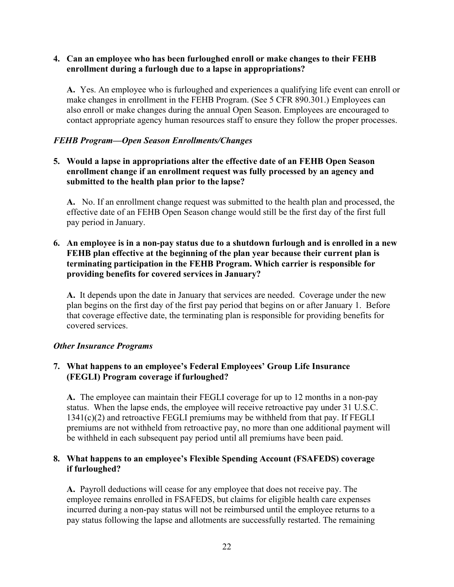#### **4. Can an employee who has been furloughed enroll or make changes to their FEHB enrollment during a furlough due to a lapse in appropriations?**

**A.** Yes. An employee who is furloughed and experiences a qualifying life event can enroll or make changes in enrollment in the FEHB Program. (See 5 CFR 890.301.) Employees can also enroll or make changes during the annual Open Season. Employees are encouraged to contact appropriate agency human resources staff to ensure they follow the proper processes.

#### *FEHB Program—Open Season Enrollments/Changes*

**5. Would a lapse in appropriations alter the effective date of an FEHB Open Season enrollment change if an enrollment request was fully processed by an agency and submitted to the health plan prior to the lapse?** 

**A.** No. If an enrollment change request was submitted to the health plan and processed, the effective date of an FEHB Open Season change would still be the first day of the first full pay period in January.

#### **6. An employee is in a non-pay status due to a shutdown furlough and is enrolled in a new FEHB plan effective at the beginning of the plan year because their current plan is terminating participation in the FEHB Program. Which carrier is responsible for providing benefits for covered services in January?**

**A.** It depends upon the date in January that services are needed. Coverage under the new plan begins on the first day of the first pay period that begins on or after January 1. Before that coverage effective date, the terminating plan is responsible for providing benefits for covered services.

#### *Other Insurance Programs*

#### **7. What happens to an employee's Federal Employees' Group Life Insurance (FEGLI) Program coverage if furloughed?**

**A.** The employee can maintain their FEGLI coverage for up to 12 months in a non-pay status. When the lapse ends, the employee will receive retroactive pay under 31 U.S.C. 1341(c)(2) and retroactive FEGLI premiums may be withheld from that pay. If FEGLI premiums are not withheld from retroactive pay, no more than one additional payment will be withheld in each subsequent pay period until all premiums have been paid.

#### **8. What happens to an employee's Flexible Spending Account (FSAFEDS) coverage if furloughed?**

**A.** Payroll deductions will cease for any employee that does not receive pay. The employee remains enrolled in FSAFEDS, but claims for eligible health care expenses incurred during a non-pay status will not be reimbursed until the employee returns to a pay status following the lapse and allotments are successfully restarted. The remaining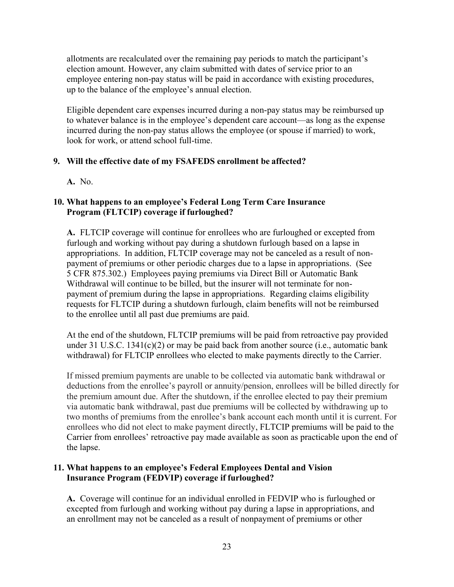allotments are recalculated over the remaining pay periods to match the participant's election amount. However, any claim submitted with dates of service prior to an employee entering non-pay status will be paid in accordance with existing procedures, up to the balance of the employee's annual election.

Eligible dependent care expenses incurred during a non-pay status may be reimbursed up to whatever balance is in the employee's dependent care account—as long as the expense incurred during the non-pay status allows the employee (or spouse if married) to work, look for work, or attend school full-time.

#### **9. Will the effective date of my FSAFEDS enrollment be affected?**

**A.** No.

#### **10. What happens to an employee's Federal Long Term Care Insurance Program (FLTCIP) coverage if furloughed?**

**A.** FLTCIP coverage will continue for enrollees who are furloughed or excepted from furlough and working without pay during a shutdown furlough based on a lapse in appropriations. In addition, FLTCIP coverage may not be canceled as a result of nonpayment of premiums or other periodic charges due to a lapse in appropriations. (See 5 CFR 875.302.) Employees paying premiums via Direct Bill or Automatic Bank Withdrawal will continue to be billed, but the insurer will not terminate for nonpayment of premium during the lapse in appropriations. Regarding claims eligibility requests for FLTCIP during a shutdown furlough, claim benefits will not be reimbursed to the enrollee until all past due premiums are paid.

At the end of the shutdown, FLTCIP premiums will be paid from retroactive pay provided under 31 U.S.C. 1341(c)(2) or may be paid back from another source (i.e., automatic bank withdrawal) for FLTCIP enrollees who elected to make payments directly to the Carrier.

If missed premium payments are unable to be collected via automatic bank withdrawal or deductions from the enrollee's payroll or annuity/pension, enrollees will be billed directly for the premium amount due. After the shutdown, if the enrollee elected to pay their premium via automatic bank withdrawal, past due premiums will be collected by withdrawing up to two months of premiums from the enrollee's bank account each month until it is current. For enrollees who did not elect to make payment directly, FLTCIP premiums will be paid to the Carrier from enrollees' retroactive pay made available as soon as practicable upon the end of the lapse.

#### **11. What happens to an employee's Federal Employees Dental and Vision Insurance Program (FEDVIP) coverage if furloughed?**

**A.** Coverage will continue for an individual enrolled in FEDVIP who is furloughed or excepted from furlough and working without pay during a lapse in appropriations, and an enrollment may not be canceled as a result of nonpayment of premiums or other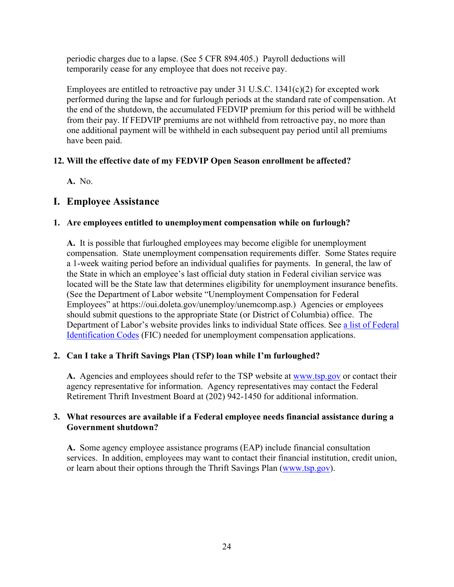periodic charges due to a lapse. (See 5 CFR 894.405.) Payroll deductions will temporarily cease for any employee that does not receive pay.

Employees are entitled to retroactive pay under  $31 \text{ U.S.C. } 1341(c)(2)$  for excepted work performed during the lapse and for furlough periods at the standard rate of compensation. At the end of the shutdown, the accumulated FEDVIP premium for this period will be withheld from their pay. If FEDVIP premiums are not withheld from retroactive pay, no more than one additional payment will be withheld in each subsequent pay period until all premiums have been paid.

#### **12. Will the effective date of my FEDVIP Open Season enrollment be affected?**

**A.** No.

## <span id="page-25-0"></span>**I. Employee Assistance**

#### **1. Are employees entitled to unemployment compensation while on furlough?**

**A.** It is possible that furloughed employees may become eligible for unemployment compensation. State unemployment compensation requirements differ. Some States require a 1-week waiting period before an individual qualifies for payments. In general, the law of the State in which an employee's last official duty station in Federal civilian service was located will be the State law that determines eligibility for unemployment insurance benefits. (See the Department of Labor website "Unemployment Compensation for Federal Employees" at https://oui.doleta.gov/unemploy/unemcomp.asp.) Agencies or employees should submit questions to the appropriate State (or District of Columbia) office. The Department of Labor's website provides links to individual State offices. See [a list of Federal](https://www.opm.gov/policy-data-oversight/pay-leave/furlough-guidance/#url=Unemployment-Insurance-Resources)  [Identification Codes](https://www.opm.gov/policy-data-oversight/pay-leave/furlough-guidance/#url=Unemployment-Insurance-Resources) (FIC) needed for unemployment compensation applications.

#### **2. Can I take a Thrift Savings Plan (TSP) loan while I'm furloughed?**

**A.** Agencies and employees should refer to the TSP website at [www.tsp.gov](http://www.tsp.gov/) or contact their agency representative for information. Agency representatives may contact the Federal Retirement Thrift Investment Board at (202) 942-1450 for additional information.

#### **3. What resources are available if a Federal employee needs financial assistance during a Government shutdown?**

**A.** Some agency employee assistance programs (EAP) include financial consultation services. In addition, employees may want to contact their financial institution, credit union, or learn about their options through the Thrift Savings Plan [\(www.tsp.gov\)](http://www.tsp.gov/).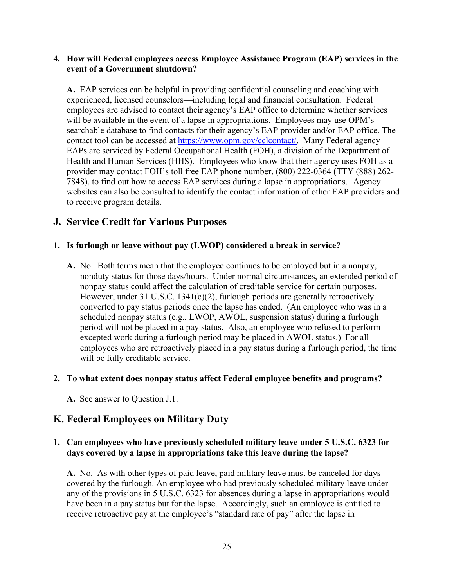#### **4. How will Federal employees access Employee Assistance Program (EAP) services in the event of a Government shutdown?**

**A.** EAP services can be helpful in providing confidential counseling and coaching with experienced, licensed counselors—including legal and financial consultation. Federal employees are advised to contact their agency's EAP office to determine whether services will be available in the event of a lapse in appropriations. Employees may use OPM's searchable database to find contacts for their agency's EAP provider and/or EAP office. The contact tool can be accessed at [https://www.opm.gov/cclcontact/.](https://www.opm.gov/cclcontact/) Many Federal agency EAPs are serviced by Federal Occupational Health (FOH), a division of the Department of Health and Human Services (HHS). Employees who know that their agency uses FOH as a provider may contact FOH's toll free EAP phone number, (800) 222-0364 (TTY (888) 262- 7848), to find out how to access EAP services during a lapse in appropriations. Agency websites can also be consulted to identify the contact information of other EAP providers and to receive program details.

## <span id="page-26-0"></span>**J. Service Credit for Various Purposes**

#### **1. Is furlough or leave without pay (LWOP) considered a break in service?**

**A.** No. Both terms mean that the employee continues to be employed but in a nonpay, nonduty status for those days/hours. Under normal circumstances, an extended period of nonpay status could affect the calculation of creditable service for certain purposes. However, under 31 U.S.C.  $1341(c)(2)$ , furlough periods are generally retroactively converted to pay status periods once the lapse has ended. (An employee who was in a scheduled nonpay status (e.g., LWOP, AWOL, suspension status) during a furlough period will not be placed in a pay status. Also, an employee who refused to perform excepted work during a furlough period may be placed in AWOL status.) For all employees who are retroactively placed in a pay status during a furlough period, the time will be fully creditable service.

#### **2. To what extent does nonpay status affect Federal employee benefits and programs?**

**A.** See answer to Question J.1.

## <span id="page-26-1"></span>**K. Federal Employees on Military Duty**

#### **1. Can employees who have previously scheduled military leave under 5 U.S.C. 6323 for days covered by a lapse in appropriations take this leave during the lapse?**

**A.** No. As with other types of paid leave, paid military leave must be canceled for days covered by the furlough. An employee who had previously scheduled military leave under any of the provisions in 5 U.S.C. 6323 for absences during a lapse in appropriations would have been in a pay status but for the lapse. Accordingly, such an employee is entitled to receive retroactive pay at the employee's "standard rate of pay" after the lapse in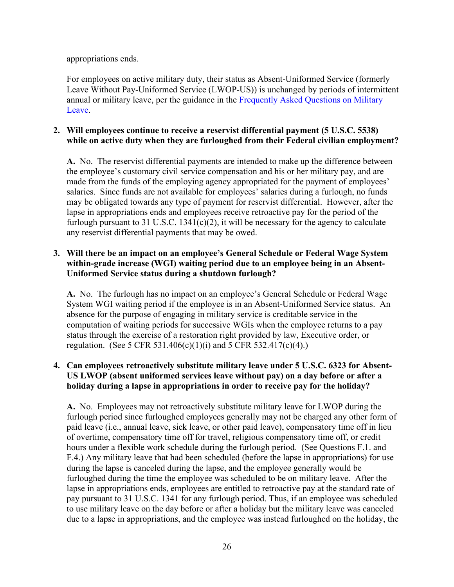appropriations ends.

For employees on active military duty, their status as Absent-Uniformed Service (formerly Leave Without Pay-Uniformed Service (LWOP-US)) is unchanged by periods of intermittent annual or military leave, per the guidance in the Frequently Asked Questions on Military [Leave.](http://www.opm.gov/faqs/topic/payleave/index.aspx?cid=f24794b1-dc27-41d8-b4e0-255cefc2c817)

#### **2. Will employees continue to receive a reservist differential payment (5 U.S.C. 5538) while on active duty when they are furloughed from their Federal civilian employment?**

**A.** No. The reservist differential payments are intended to make up the difference between the employee's customary civil service compensation and his or her military pay, and are made from the funds of the employing agency appropriated for the payment of employees' salaries. Since funds are not available for employees' salaries during a furlough, no funds may be obligated towards any type of payment for reservist differential. However, after the lapse in appropriations ends and employees receive retroactive pay for the period of the furlough pursuant to 31 U.S.C.  $1341(c)(2)$ , it will be necessary for the agency to calculate any reservist differential payments that may be owed.

#### **3. Will there be an impact on an employee's General Schedule or Federal Wage System within-grade increase (WGI) waiting period due to an employee being in an Absent-Uniformed Service status during a shutdown furlough?**

**A.** No. The furlough has no impact on an employee's General Schedule or Federal Wage System WGI waiting period if the employee is in an Absent-Uniformed Service status. An absence for the purpose of engaging in military service is creditable service in the computation of waiting periods for successive WGIs when the employee returns to a pay status through the exercise of a restoration right provided by law, Executive order, or regulation. (See 5 CFR 531.406(c)(1)(i) and 5 CFR 532.417(c)(4).)

#### **4. Can employees retroactively substitute military leave under 5 U.S.C. 6323 for Absent-US LWOP (absent uniformed services leave without pay) on a day before or after a holiday during a lapse in appropriations in order to receive pay for the holiday?**

**A.** No. Employees may not retroactively substitute military leave for LWOP during the furlough period since furloughed employees generally may not be charged any other form of paid leave (i.e., annual leave, sick leave, or other paid leave), compensatory time off in lieu of overtime, compensatory time off for travel, religious compensatory time off, or credit hours under a flexible work schedule during the furlough period. (See Questions F.1. and F.4.) Any military leave that had been scheduled (before the lapse in appropriations) for use during the lapse is canceled during the lapse, and the employee generally would be furloughed during the time the employee was scheduled to be on military leave. After the lapse in appropriations ends, employees are entitled to retroactive pay at the standard rate of pay pursuant to 31 U.S.C. 1341 for any furlough period. Thus, if an employee was scheduled to use military leave on the day before or after a holiday but the military leave was canceled due to a lapse in appropriations, and the employee was instead furloughed on the holiday, the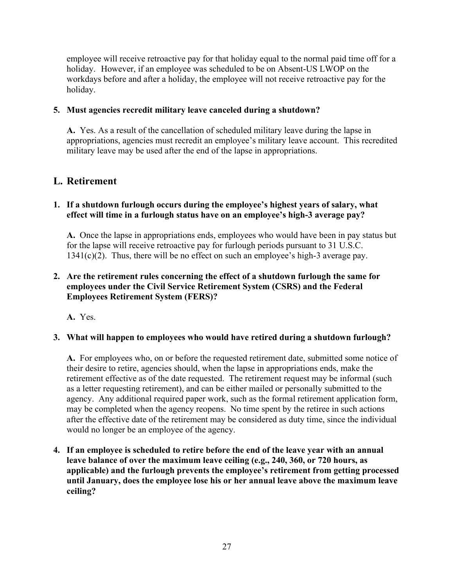employee will receive retroactive pay for that holiday equal to the normal paid time off for a holiday. However, if an employee was scheduled to be on Absent-US LWOP on the workdays before and after a holiday, the employee will not receive retroactive pay for the holiday.

#### **5. Must agencies recredit military leave canceled during a shutdown?**

**A.** Yes. As a result of the cancellation of scheduled military leave during the lapse in appropriations, agencies must recredit an employee's military leave account. This recredited military leave may be used after the end of the lapse in appropriations.

## <span id="page-28-0"></span>**L. Retirement**

#### **1. If a shutdown furlough occurs during the employee's highest years of salary, what effect will time in a furlough status have on an employee's high-3 average pay?**

**A.** Once the lapse in appropriations ends, employees who would have been in pay status but for the lapse will receive retroactive pay for furlough periods pursuant to 31 U.S.C. 1341(c)(2). Thus, there will be no effect on such an employee's high-3 average pay.

#### **2. Are the retirement rules concerning the effect of a shutdown furlough the same for employees under the Civil Service Retirement System (CSRS) and the Federal Employees Retirement System (FERS)?**

**A.** Yes.

## **3. What will happen to employees who would have retired during a shutdown furlough?**

**A.** For employees who, on or before the requested retirement date, submitted some notice of their desire to retire, agencies should, when the lapse in appropriations ends, make the retirement effective as of the date requested. The retirement request may be informal (such as a letter requesting retirement), and can be either mailed or personally submitted to the agency. Any additional required paper work, such as the formal retirement application form, may be completed when the agency reopens. No time spent by the retiree in such actions after the effective date of the retirement may be considered as duty time, since the individual would no longer be an employee of the agency.

**4. If an employee is scheduled to retire before the end of the leave year with an annual leave balance of over the maximum leave ceiling (e.g., 240, 360, or 720 hours, as applicable) and the furlough prevents the employee's retirement from getting processed until January, does the employee lose his or her annual leave above the maximum leave ceiling?**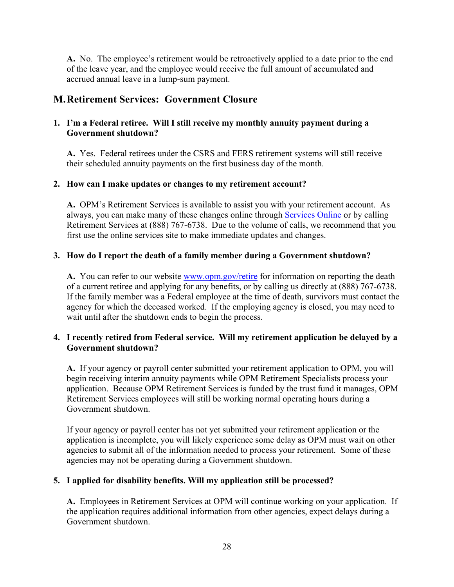**A.** No. The employee's retirement would be retroactively applied to a date prior to the end of the leave year, and the employee would receive the full amount of accumulated and accrued annual leave in a lump-sum payment.

## <span id="page-29-0"></span>**M. Retirement Services: Government Closure**

#### **1. I'm a Federal retiree. Will I still receive my monthly annuity payment during a Government shutdown?**

**A.** Yes. Federal retirees under the CSRS and FERS retirement systems will still receive their scheduled annuity payments on the first business day of the month.

#### **2. How can I make updates or changes to my retirement account?**

**A.** OPM's Retirement Services is available to assist you with your retirement account. As always, you can make many of these changes online through [Services Online](https://www.servicesonline.opm.gov/) or by calling Retirement Services at (888) 767-6738. Due to the volume of calls, we recommend that you first use the online services site to make immediate updates and changes.

#### **3. How do I report the death of a family member during a Government shutdown?**

A. You can refer to our website [www.opm.gov/retire](http://www.opm.gov/retire) for information on reporting the death of a current retiree and applying for any benefits, or by calling us directly at (888) 767-6738. If the family member was a Federal employee at the time of death, survivors must contact the agency for which the deceased worked. If the employing agency is closed, you may need to wait until after the shutdown ends to begin the process.

#### **4. I recently retired from Federal service. Will my retirement application be delayed by a Government shutdown?**

**A.** If your agency or payroll center submitted your retirement application to OPM, you will begin receiving interim annuity payments while OPM Retirement Specialists process your application. Because OPM Retirement Services is funded by the trust fund it manages, OPM Retirement Services employees will still be working normal operating hours during a Government shutdown.

If your agency or payroll center has not yet submitted your retirement application or the application is incomplete, you will likely experience some delay as OPM must wait on other agencies to submit all of the information needed to process your retirement. Some of these agencies may not be operating during a Government shutdown.

## **5. I applied for disability benefits. Will my application still be processed?**

**A.** Employees in Retirement Services at OPM will continue working on your application. If the application requires additional information from other agencies, expect delays during a Government shutdown.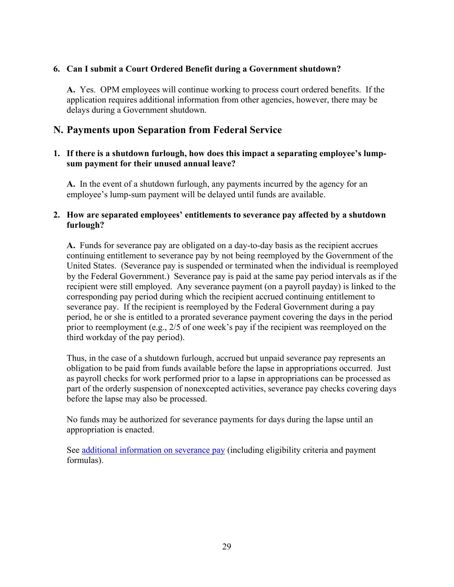#### **6. Can I submit a Court Ordered Benefit during a Government shutdown?**

**A.** Yes. OPM employees will continue working to process court ordered benefits. If the application requires additional information from other agencies, however, there may be delays during a Government shutdown.

## <span id="page-30-0"></span>**N. Payments upon Separation from Federal Service**

#### **1. If there is a shutdown furlough, how does this impact a separating employee's lumpsum payment for their unused annual leave?**

**A.** In the event of a shutdown furlough, any payments incurred by the agency for an employee's lump-sum payment will be delayed until funds are available.

#### **2. How are separated employees' entitlements to severance pay affected by a shutdown furlough?**

**A.** Funds for severance pay are obligated on a day-to-day basis as the recipient accrues continuing entitlement to severance pay by not being reemployed by the Government of the United States. (Severance pay is suspended or terminated when the individual is reemployed by the Federal Government.) Severance pay is paid at the same pay period intervals as if the recipient were still employed. Any severance payment (on a payroll payday) is linked to the corresponding pay period during which the recipient accrued continuing entitlement to severance pay. If the recipient is reemployed by the Federal Government during a pay period, he or she is entitled to a prorated severance payment covering the days in the period prior to reemployment (e.g., 2/5 of one week's pay if the recipient was reemployed on the third workday of the pay period).

Thus, in the case of a shutdown furlough, accrued but unpaid severance pay represents an obligation to be paid from funds available before the lapse in appropriations occurred. Just as payroll checks for work performed prior to a lapse in appropriations can be processed as part of the orderly suspension of nonexcepted activities, severance pay checks covering days before the lapse may also be processed.

No funds may be authorized for severance payments for days during the lapse until an appropriation is enacted.

See [additional information on severance pay](http://www.opm.gov/policy-data-oversight/pay-leave/pay-administration/fact-sheets/severance-pay/) (including eligibility criteria and payment formulas).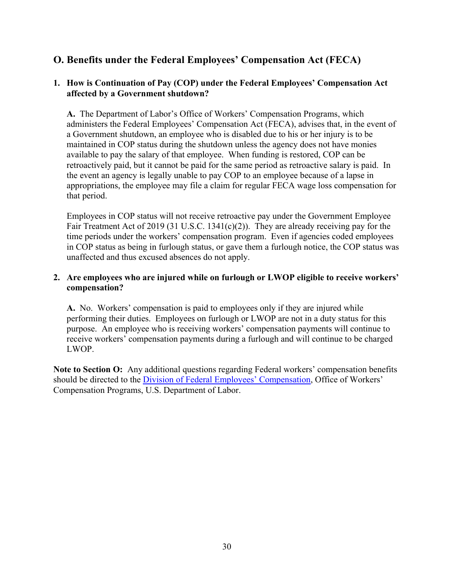## <span id="page-31-0"></span>**O. Benefits under the Federal Employees' Compensation Act (FECA)**

#### **1. How is Continuation of Pay (COP) under the Federal Employees' Compensation Act affected by a Government shutdown?**

**A.** The Department of Labor's Office of Workers' Compensation Programs, which administers the Federal Employees' Compensation Act (FECA), advises that, in the event of a Government shutdown, an employee who is disabled due to his or her injury is to be maintained in COP status during the shutdown unless the agency does not have monies available to pay the salary of that employee. When funding is restored, COP can be retroactively paid, but it cannot be paid for the same period as retroactive salary is paid. In the event an agency is legally unable to pay COP to an employee because of a lapse in appropriations, the employee may file a claim for regular FECA wage loss compensation for that period.

Employees in COP status will not receive retroactive pay under the Government Employee Fair Treatment Act of 2019 (31 U.S.C. 1341(c)(2)). They are already receiving pay for the time periods under the workers' compensation program. Even if agencies coded employees in COP status as being in furlough status, or gave them a furlough notice, the COP status was unaffected and thus excused absences do not apply.

#### **2. Are employees who are injured while on furlough or LWOP eligible to receive workers' compensation?**

**A.** No. Workers' compensation is paid to employees only if they are injured while performing their duties. Employees on furlough or LWOP are not in a duty status for this purpose. An employee who is receiving workers' compensation payments will continue to receive workers' compensation payments during a furlough and will continue to be charged LWOP.

**Note to Section O:** Any additional questions regarding Federal workers' compensation benefits should be directed to the [Division of Federal Employees' Compensation,](http://www.dol.gov/owcp/dfec) Office of Workers' Compensation Programs, U.S. Department of Labor.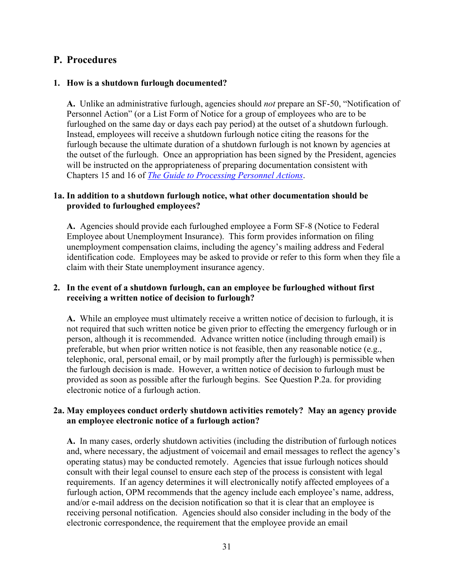#### <span id="page-32-0"></span>**P. Procedures**

#### **1. How is a shutdown furlough documented?**

**A.** Unlike an administrative furlough, agencies should *not* prepare an SF-50, "Notification of Personnel Action" (or a List Form of Notice for a group of employees who are to be furloughed on the same day or days each pay period) at the outset of a shutdown furlough. Instead, employees will receive a shutdown furlough notice citing the reasons for the furlough because the ultimate duration of a shutdown furlough is not known by agencies at the outset of the furlough. Once an appropriation has been signed by the President, agencies will be instructed on the appropriateness of preparing documentation consistent with Chapters 15 and 16 of *[The Guide to Processing Personnel Actions](https://www.opm.gov/policy-data-oversight/data-analysis-documentation/personnel-documentation#url=Processing-Personnel-Actions)*.

#### **1a. In addition to a shutdown furlough notice, what other documentation should be provided to furloughed employees?**

**A.** Agencies should provide each furloughed employee a Form SF-8 (Notice to Federal Employee about Unemployment Insurance). This form provides information on filing unemployment compensation claims, including the agency's mailing address and Federal identification code. Employees may be asked to provide or refer to this form when they file a claim with their State unemployment insurance agency.

#### **2. In the event of a shutdown furlough, can an employee be furloughed without first receiving a written notice of decision to furlough?**

**A.** While an employee must ultimately receive a written notice of decision to furlough, it is not required that such written notice be given prior to effecting the emergency furlough or in person, although it is recommended. Advance written notice (including through email) is preferable, but when prior written notice is not feasible, then any reasonable notice (e.g., telephonic, oral, personal email, or by mail promptly after the furlough) is permissible when the furlough decision is made. However, a written notice of decision to furlough must be provided as soon as possible after the furlough begins. See Question P.2a. for providing electronic notice of a furlough action.

#### **2a. May employees conduct orderly shutdown activities remotely? May an agency provide an employee electronic notice of a furlough action?**

**A.** In many cases, orderly shutdown activities (including the distribution of furlough notices and, where necessary, the adjustment of voicemail and email messages to reflect the agency's operating status) may be conducted remotely. Agencies that issue furlough notices should consult with their legal counsel to ensure each step of the process is consistent with legal requirements. If an agency determines it will electronically notify affected employees of a furlough action, OPM recommends that the agency include each employee's name, address, and/or e-mail address on the decision notification so that it is clear that an employee is receiving personal notification. Agencies should also consider including in the body of the electronic correspondence, the requirement that the employee provide an email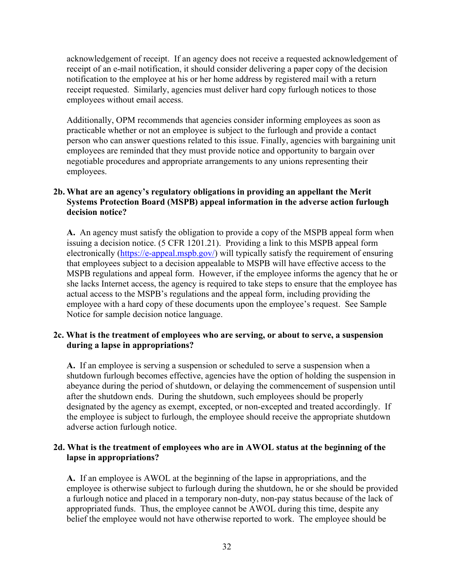acknowledgement of receipt. If an agency does not receive a requested acknowledgement of receipt of an e-mail notification, it should consider delivering a paper copy of the decision notification to the employee at his or her home address by registered mail with a return receipt requested. Similarly, agencies must deliver hard copy furlough notices to those employees without email access.

Additionally, OPM recommends that agencies consider informing employees as soon as practicable whether or not an employee is subject to the furlough and provide a contact person who can answer questions related to this issue. Finally, agencies with bargaining unit employees are reminded that they must provide notice and opportunity to bargain over negotiable procedures and appropriate arrangements to any unions representing their employees.

#### **2b. What are an agency's regulatory obligations in providing an appellant the Merit Systems Protection Board (MSPB) appeal information in the adverse action furlough decision notice?**

**A.** An agency must satisfy the obligation to provide a copy of the MSPB appeal form when issuing a decision notice. (5 CFR 1201.21). Providing a link to this MSPB appeal form electronically [\(https://e-appeal.mspb.gov/\)](https://e-appeal.mspb.gov/) will typically satisfy the requirement of ensuring that employees subject to a decision appealable to MSPB will have effective access to the MSPB regulations and appeal form. However, if the employee informs the agency that he or she lacks Internet access, the agency is required to take steps to ensure that the employee has actual access to the MSPB's regulations and the appeal form, including providing the employee with a hard copy of these documents upon the employee's request. See Sample Notice for sample decision notice language.

#### **2c. What is the treatment of employees who are serving, or about to serve, a suspension during a lapse in appropriations?**

**A.** If an employee is serving a suspension or scheduled to serve a suspension when a shutdown furlough becomes effective, agencies have the option of holding the suspension in abeyance during the period of shutdown, or delaying the commencement of suspension until after the shutdown ends. During the shutdown, such employees should be properly designated by the agency as exempt, excepted, or non-excepted and treated accordingly. If the employee is subject to furlough, the employee should receive the appropriate shutdown adverse action furlough notice.

#### **2d. What is the treatment of employees who are in AWOL status at the beginning of the lapse in appropriations?**

**A.** If an employee is AWOL at the beginning of the lapse in appropriations, and the employee is otherwise subject to furlough during the shutdown, he or she should be provided a furlough notice and placed in a temporary non-duty, non-pay status because of the lack of appropriated funds. Thus, the employee cannot be AWOL during this time, despite any belief the employee would not have otherwise reported to work. The employee should be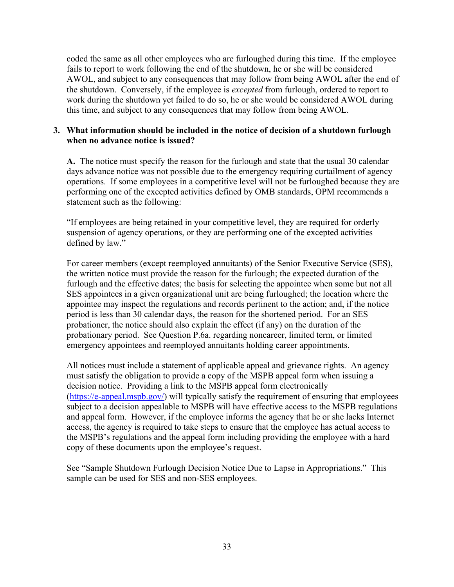coded the same as all other employees who are furloughed during this time. If the employee fails to report to work following the end of the shutdown, he or she will be considered AWOL, and subject to any consequences that may follow from being AWOL after the end of the shutdown. Conversely, if the employee is *excepted* from furlough, ordered to report to work during the shutdown yet failed to do so, he or she would be considered AWOL during this time, and subject to any consequences that may follow from being AWOL.

#### **3. What information should be included in the notice of decision of a shutdown furlough when no advance notice is issued?**

**A.** The notice must specify the reason for the furlough and state that the usual 30 calendar days advance notice was not possible due to the emergency requiring curtailment of agency operations. If some employees in a competitive level will not be furloughed because they are performing one of the excepted activities defined by OMB standards, OPM recommends a statement such as the following:

"If employees are being retained in your competitive level, they are required for orderly suspension of agency operations, or they are performing one of the excepted activities defined by law."

For career members (except reemployed annuitants) of the Senior Executive Service (SES), the written notice must provide the reason for the furlough; the expected duration of the furlough and the effective dates; the basis for selecting the appointee when some but not all SES appointees in a given organizational unit are being furloughed; the location where the appointee may inspect the regulations and records pertinent to the action; and, if the notice period is less than 30 calendar days, the reason for the shortened period. For an SES probationer, the notice should also explain the effect (if any) on the duration of the probationary period. See Question P.6a. regarding noncareer, limited term, or limited emergency appointees and reemployed annuitants holding career appointments.

All notices must include a statement of applicable appeal and grievance rights. An agency must satisfy the obligation to provide a copy of the MSPB appeal form when issuing a decision notice. Providing a link to the MSPB appeal form electronically [\(https://e-appeal.mspb.gov/\)](https://e-appeal.mspb.gov/) will typically satisfy the requirement of ensuring that employees subject to a decision appealable to MSPB will have effective access to the MSPB regulations and appeal form. However, if the employee informs the agency that he or she lacks Internet access, the agency is required to take steps to ensure that the employee has actual access to the MSPB's regulations and the appeal form including providing the employee with a hard copy of these documents upon the employee's request.

See "Sample Shutdown Furlough Decision Notice Due to Lapse in Appropriations." This sample can be used for SES and non-SES employees.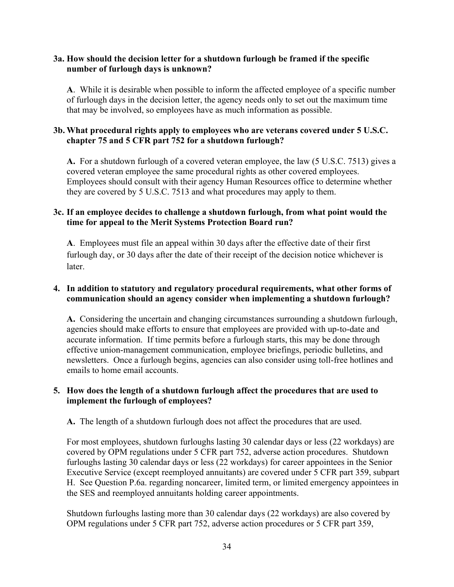#### **3a. How should the decision letter for a shutdown furlough be framed if the specific number of furlough days is unknown?**

**A**. While it is desirable when possible to inform the affected employee of a specific number of furlough days in the decision letter, the agency needs only to set out the maximum time that may be involved, so employees have as much information as possible.

#### **3b. What procedural rights apply to employees who are veterans covered under 5 U.S.C. chapter 75 and 5 CFR part 752 for a shutdown furlough?**

**A.** For a shutdown furlough of a covered veteran employee, the law (5 U.S.C. 7513) gives a covered veteran employee the same procedural rights as other covered employees. Employees should consult with their agency Human Resources office to determine whether they are covered by 5 U.S.C. 7513 and what procedures may apply to them.

#### **3c. If an employee decides to challenge a shutdown furlough, from what point would the time for appeal to the Merit Systems Protection Board run?**

**A**. Employees must file an appeal within 30 days after the effective date of their first furlough day, or 30 days after the date of their receipt of the decision notice whichever is later.

#### **4. In addition to statutory and regulatory procedural requirements, what other forms of communication should an agency consider when implementing a shutdown furlough?**

**A.** Considering the uncertain and changing circumstances surrounding a shutdown furlough, agencies should make efforts to ensure that employees are provided with up-to-date and accurate information. If time permits before a furlough starts, this may be done through effective union-management communication, employee briefings, periodic bulletins, and newsletters. Once a furlough begins, agencies can also consider using toll-free hotlines and emails to home email accounts.

#### **5. How does the length of a shutdown furlough affect the procedures that are used to implement the furlough of employees?**

**A.** The length of a shutdown furlough does not affect the procedures that are used.

For most employees, shutdown furloughs lasting 30 calendar days or less (22 workdays) are covered by OPM regulations under 5 CFR part 752, adverse action procedures. Shutdown furloughs lasting 30 calendar days or less (22 workdays) for career appointees in the Senior Executive Service (except reemployed annuitants) are covered under 5 CFR part 359, subpart H. See Question P.6a. regarding noncareer, limited term, or limited emergency appointees in the SES and reemployed annuitants holding career appointments.

Shutdown furloughs lasting more than 30 calendar days (22 workdays) are also covered by OPM regulations under 5 CFR part 752, adverse action procedures or 5 CFR part 359,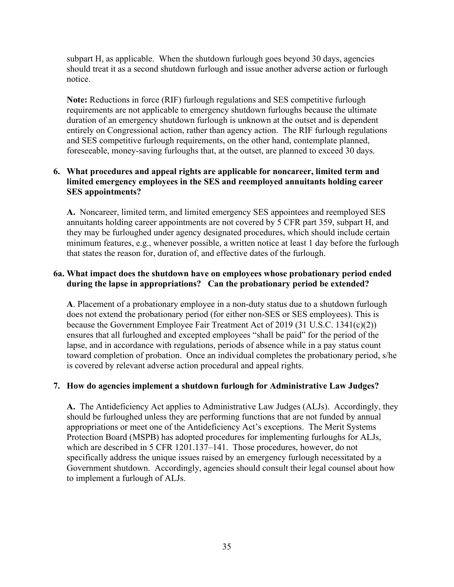subpart H, as applicable. When the shutdown furlough goes beyond 30 days, agencies should treat it as a second shutdown furlough and issue another adverse action or furlough notice.

**Note:** Reductions in force (RIF) furlough regulations and SES competitive furlough requirements are not applicable to emergency shutdown furloughs because the ultimate duration of an emergency shutdown furlough is unknown at the outset and is dependent entirely on Congressional action, rather than agency action. The RIF furlough regulations and SES competitive furlough requirements, on the other hand, contemplate planned, foreseeable, money-saving furloughs that, at the outset, are planned to exceed 30 days.

#### **6. What procedures and appeal rights are applicable for noncareer, limited term and limited emergency employees in the SES and reemployed annuitants holding career SES appointments?**

**A.** Noncareer, limited term, and limited emergency SES appointees and reemployed SES annuitants holding career appointments are not covered by 5 CFR part 359, subpart H, and they may be furloughed under agency designated procedures, which should include certain minimum features, e.g., whenever possible, a written notice at least 1 day before the furlough that states the reason for, duration of, and effective dates of the furlough.

#### **6a. What impact does the shutdown have on employees whose probationary period ended during the lapse in appropriations? Can the probationary period be extended?**

**A**. Placement of a probationary employee in a non-duty status due to a shutdown furlough does not extend the probationary period (for either non-SES or SES employees). This is because the Government Employee Fair Treatment Act of 2019 (31 U.S.C. 1341(c)(2)) ensures that all furloughed and excepted employees "shall be paid" for the period of the lapse, and in accordance with regulations, periods of absence while in a pay status count toward completion of probation. Once an individual completes the probationary period, s/he is covered by relevant adverse action procedural and appeal rights.

#### **7. How do agencies implement a shutdown furlough for Administrative Law Judges?**

**A.** The Antideficiency Act applies to Administrative Law Judges (ALJs). Accordingly, they should be furloughed unless they are performing functions that are not funded by annual appropriations or meet one of the Antideficiency Act's exceptions. The Merit Systems Protection Board (MSPB) has adopted procedures for implementing furloughs for ALJs, which are described in 5 CFR 1201.137–141. Those procedures, however, do not specifically address the unique issues raised by an emergency furlough necessitated by a Government shutdown. Accordingly, agencies should consult their legal counsel about how to implement a furlough of ALJs.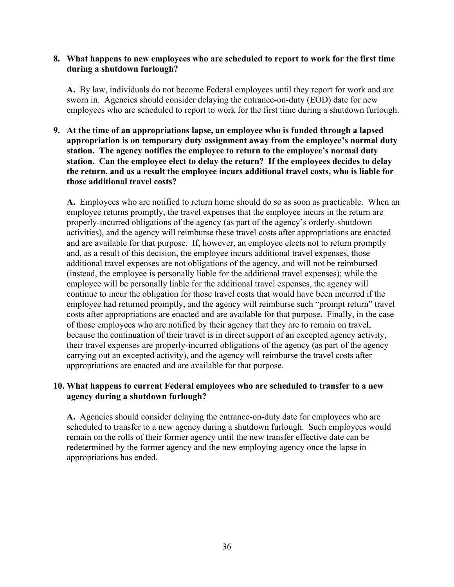#### **8. What happens to new employees who are scheduled to report to work for the first time during a shutdown furlough?**

**A.** By law, individuals do not become Federal employees until they report for work and are sworn in. Agencies should consider delaying the entrance-on-duty (EOD) date for new employees who are scheduled to report to work for the first time during a shutdown furlough.

**9. At the time of an appropriations lapse, an employee who is funded through a lapsed appropriation is on temporary duty assignment away from the employee's normal duty station. The agency notifies the employee to return to the employee's normal duty station. Can the employee elect to delay the return? If the employees decides to delay the return, and as a result the employee incurs additional travel costs, who is liable for those additional travel costs?** 

**A.** Employees who are notified to return home should do so as soon as practicable. When an employee returns promptly, the travel expenses that the employee incurs in the return are properly-incurred obligations of the agency (as part of the agency's orderly-shutdown activities), and the agency will reimburse these travel costs after appropriations are enacted and are available for that purpose. If, however, an employee elects not to return promptly and, as a result of this decision, the employee incurs additional travel expenses, those additional travel expenses are not obligations of the agency, and will not be reimbursed (instead, the employee is personally liable for the additional travel expenses); while the employee will be personally liable for the additional travel expenses, the agency will continue to incur the obligation for those travel costs that would have been incurred if the employee had returned promptly, and the agency will reimburse such "prompt return" travel costs after appropriations are enacted and are available for that purpose. Finally, in the case of those employees who are notified by their agency that they are to remain on travel, because the continuation of their travel is in direct support of an excepted agency activity, their travel expenses are properly-incurred obligations of the agency (as part of the agency carrying out an excepted activity), and the agency will reimburse the travel costs after appropriations are enacted and are available for that purpose.

#### **10. What happens to current Federal employees who are scheduled to transfer to a new agency during a shutdown furlough?**

**A.** Agencies should consider delaying the entrance-on-duty date for employees who are scheduled to transfer to a new agency during a shutdown furlough. Such employees would remain on the rolls of their former agency until the new transfer effective date can be redetermined by the former agency and the new employing agency once the lapse in appropriations has ended.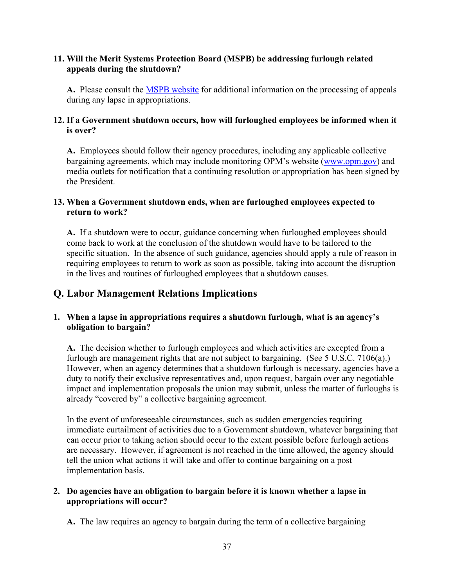#### **11. Will the Merit Systems Protection Board (MSPB) be addressing furlough related appeals during the shutdown?**

**A.** Please consult the [MSPB website](http://www.mspb.gov/) for additional information on the processing of appeals during any lapse in appropriations.

#### **12. If a Government shutdown occurs, how will furloughed employees be informed when it is over?**

**A.** Employees should follow their agency procedures, including any applicable collective bargaining agreements, which may include monitoring OPM's website [\(www.opm.gov\)](http://www.opm.gov/) and media outlets for notification that a continuing resolution or appropriation has been signed by the President.

#### **13. When a Government shutdown ends, when are furloughed employees expected to return to work?**

**A.** If a shutdown were to occur, guidance concerning when furloughed employees should come back to work at the conclusion of the shutdown would have to be tailored to the specific situation. In the absence of such guidance, agencies should apply a rule of reason in requiring employees to return to work as soon as possible, taking into account the disruption in the lives and routines of furloughed employees that a shutdown causes.

## <span id="page-38-0"></span>**Q. Labor Management Relations Implications**

#### **1. When a lapse in appropriations requires a shutdown furlough, what is an agency's obligation to bargain?**

**A.** The decision whether to furlough employees and which activities are excepted from a furlough are management rights that are not subject to bargaining. (See 5 U.S.C. 7106(a).) However, when an agency determines that a shutdown furlough is necessary, agencies have a duty to notify their exclusive representatives and, upon request, bargain over any negotiable impact and implementation proposals the union may submit, unless the matter of furloughs is already "covered by" a collective bargaining agreement.

In the event of unforeseeable circumstances, such as sudden emergencies requiring immediate curtailment of activities due to a Government shutdown, whatever bargaining that can occur prior to taking action should occur to the extent possible before furlough actions are necessary. However, if agreement is not reached in the time allowed, the agency should tell the union what actions it will take and offer to continue bargaining on a post implementation basis.

#### **2. Do agencies have an obligation to bargain before it is known whether a lapse in appropriations will occur?**

**A.** The law requires an agency to bargain during the term of a collective bargaining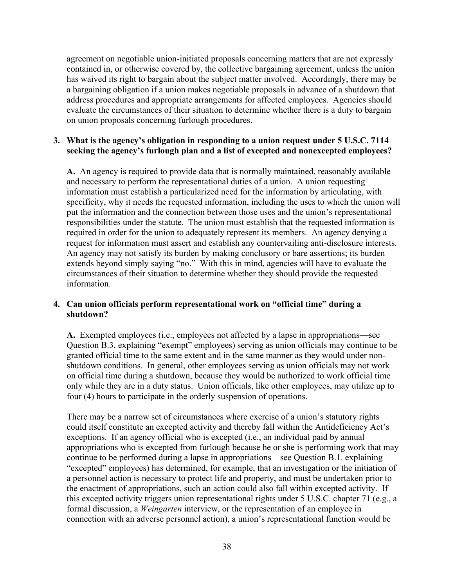agreement on negotiable union-initiated proposals concerning matters that are not expressly contained in, or otherwise covered by, the collective bargaining agreement, unless the union has waived its right to bargain about the subject matter involved. Accordingly, there may be a bargaining obligation if a union makes negotiable proposals in advance of a shutdown that address procedures and appropriate arrangements for affected employees. Agencies should evaluate the circumstances of their situation to determine whether there is a duty to bargain on union proposals concerning furlough procedures.

#### **3. What is the agency's obligation in responding to a union request under 5 U.S.C. 7114 seeking the agency's furlough plan and a list of excepted and nonexcepted employees?**

**A.** An agency is required to provide data that is normally maintained, reasonably available and necessary to perform the representational duties of a union. A union requesting information must establish a particularized need for the information by articulating, with specificity, why it needs the requested information, including the uses to which the union will put the information and the connection between those uses and the union's representational responsibilities under the statute. The union must establish that the requested information is required in order for the union to adequately represent its members. An agency denying a request for information must assert and establish any countervailing anti-disclosure interests. An agency may not satisfy its burden by making conclusory or bare assertions; its burden extends beyond simply saying "no." With this in mind, agencies will have to evaluate the circumstances of their situation to determine whether they should provide the requested information.

#### **4. Can union officials perform representational work on "official time" during a shutdown?**

**A.** Exempted employees (i.e., employees not affected by a lapse in appropriations—see Question B.3. explaining "exempt" employees) serving as union officials may continue to be granted official time to the same extent and in the same manner as they would under nonshutdown conditions. In general, other employees serving as union officials may not work on official time during a shutdown, because they would be authorized to work official time only while they are in a duty status. Union officials, like other employees, may utilize up to four (4) hours to participate in the orderly suspension of operations.

There may be a narrow set of circumstances where exercise of a union's statutory rights could itself constitute an excepted activity and thereby fall within the Antideficiency Act's exceptions. If an agency official who is excepted (i.e., an individual paid by annual appropriations who is excepted from furlough because he or she is performing work that may continue to be performed during a lapse in appropriations—see Question B.1. explaining "excepted" employees) has determined, for example, that an investigation or the initiation of a personnel action is necessary to protect life and property, and must be undertaken prior to the enactment of appropriations, such an action could also fall within excepted activity. If this excepted activity triggers union representational rights under 5 U.S.C. chapter 71 (e.g., a formal discussion, a *Weingarten* interview, or the representation of an employee in connection with an adverse personnel action), a union's representational function would be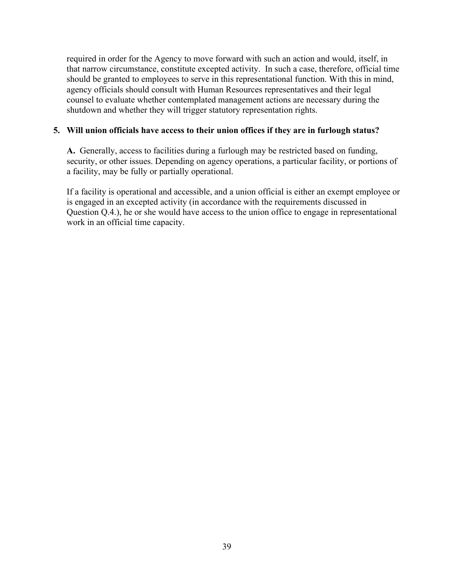required in order for the Agency to move forward with such an action and would, itself, in that narrow circumstance, constitute excepted activity. In such a case, therefore, official time should be granted to employees to serve in this representational function. With this in mind, agency officials should consult with Human Resources representatives and their legal counsel to evaluate whether contemplated management actions are necessary during the shutdown and whether they will trigger statutory representation rights.

#### **5. Will union officials have access to their union offices if they are in furlough status?**

**A.** Generally, access to facilities during a furlough may be restricted based on funding, security, or other issues. Depending on agency operations, a particular facility, or portions of a facility, may be fully or partially operational.

If a facility is operational and accessible, and a union official is either an exempt employee or is engaged in an excepted activity (in accordance with the requirements discussed in Question Q.4.), he or she would have access to the union office to engage in representational work in an official time capacity.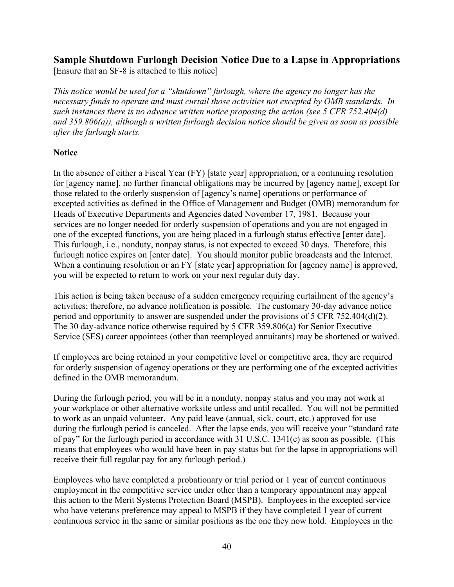## <span id="page-41-0"></span>**Sample Shutdown Furlough Decision Notice Due to a Lapse in Appropriations**

[Ensure that an SF-8 is attached to this notice]

*This notice would be used for a "shutdown" furlough, where the agency no longer has the necessary funds to operate and must curtail those activities not excepted by OMB standards. In such instances there is no advance written notice proposing the action (see 5 CFR 752.404(d) and 359.806(a)), although a written furlough decision notice should be given as soon as possible after the furlough starts.* 

#### **Notice**

In the absence of either a Fiscal Year (FY) [state year] appropriation, or a continuing resolution for [agency name], no further financial obligations may be incurred by [agency name], except for those related to the orderly suspension of [agency's name] operations or performance of excepted activities as defined in the Office of Management and Budget (OMB) memorandum for Heads of Executive Departments and Agencies dated November 17, 1981. Because your services are no longer needed for orderly suspension of operations and you are not engaged in one of the excepted functions, you are being placed in a furlough status effective [enter date]. This furlough, i.e., nonduty, nonpay status, is not expected to exceed 30 days. Therefore, this furlough notice expires on [enter date]. You should monitor public broadcasts and the Internet. When a continuing resolution or an FY [state year] appropriation for [agency name] is approved, you will be expected to return to work on your next regular duty day.

This action is being taken because of a sudden emergency requiring curtailment of the agency's activities; therefore, no advance notification is possible. The customary 30-day advance notice period and opportunity to answer are suspended under the provisions of 5 CFR 752.404(d)(2). The 30 day-advance notice otherwise required by 5 CFR 359.806(a) for Senior Executive Service (SES) career appointees (other than reemployed annuitants) may be shortened or waived.

If employees are being retained in your competitive level or competitive area, they are required for orderly suspension of agency operations or they are performing one of the excepted activities defined in the OMB memorandum.

During the furlough period, you will be in a nonduty, nonpay status and you may not work at your workplace or other alternative worksite unless and until recalled. You will not be permitted to work as an unpaid volunteer. Any paid leave (annual, sick, court, etc.) approved for use during the furlough period is canceled. After the lapse ends, you will receive your "standard rate of pay" for the furlough period in accordance with 31 U.S.C. 1341(c) as soon as possible. (This means that employees who would have been in pay status but for the lapse in appropriations will receive their full regular pay for any furlough period.)

Employees who have completed a probationary or trial period or 1 year of current continuous employment in the competitive service under other than a temporary appointment may appeal this action to the Merit Systems Protection Board (MSPB). Employees in the excepted service who have veterans preference may appeal to MSPB if they have completed 1 year of current continuous service in the same or similar positions as the one they now hold. Employees in the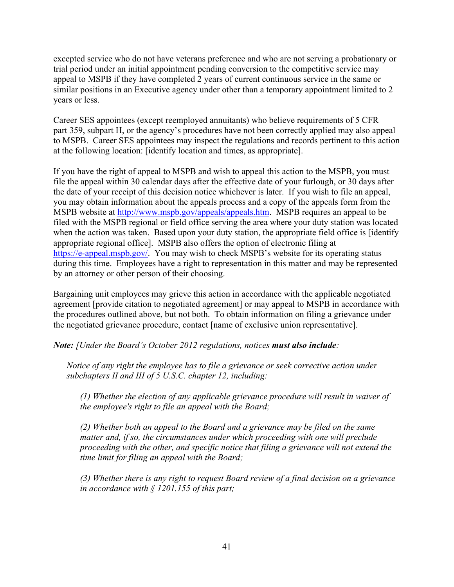excepted service who do not have veterans preference and who are not serving a probationary or trial period under an initial appointment pending conversion to the competitive service may appeal to MSPB if they have completed 2 years of current continuous service in the same or similar positions in an Executive agency under other than a temporary appointment limited to 2 years or less.

Career SES appointees (except reemployed annuitants) who believe requirements of 5 CFR part 359, subpart H, or the agency's procedures have not been correctly applied may also appeal to MSPB. Career SES appointees may inspect the regulations and records pertinent to this action at the following location: [identify location and times, as appropriate].

If you have the right of appeal to MSPB and wish to appeal this action to the MSPB, you must file the appeal within 30 calendar days after the effective date of your furlough, or 30 days after the date of your receipt of this decision notice whichever is later. If you wish to file an appeal, you may obtain information about the appeals process and a copy of the appeals form from the MSPB website at [http://www.mspb.gov/appeals/appeals.htm.](http://www.mspb.gov/appeals/appeals.htm) MSPB requires an appeal to be filed with the MSPB regional or field office serving the area where your duty station was located when the action was taken. Based upon your duty station, the appropriate field office is [identify] appropriate regional office]. MSPB also offers the option of electronic filing at [https://e-appeal.mspb.gov/.](https://e-appeal.mspb.gov/) You may wish to check MSPB's website for its operating status during this time. Employees have a right to representation in this matter and may be represented by an attorney or other person of their choosing.

Bargaining unit employees may grieve this action in accordance with the applicable negotiated agreement [provide citation to negotiated agreement] or may appeal to MSPB in accordance with the procedures outlined above, but not both. To obtain information on filing a grievance under the negotiated grievance procedure, contact [name of exclusive union representative].

*Note: [Under the Board's October 2012 regulations, notices must also include:* 

*Notice of any right the employee has to file a grievance or seek corrective action under subchapters II and III of 5 U.S.C. chapter 12, including:* 

*(1) Whether the election of any applicable grievance procedure will result in waiver of the employee's right to file an appeal with the Board;* 

*(2) Whether both an appeal to the Board and a grievance may be filed on the same matter and, if so, the circumstances under which proceeding with one will preclude proceeding with the other, and specific notice that filing a grievance will not extend the time limit for filing an appeal with the Board;* 

*(3) Whether there is any right to request Board review of a final decision on a grievance in accordance with § 1201.155 of this part;*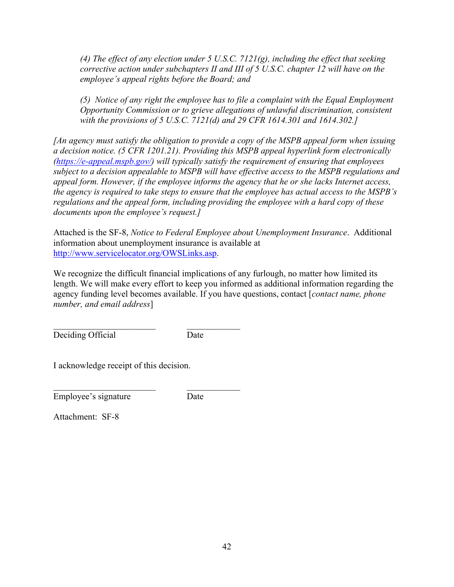*(4) The effect of any election under 5 U.S.C. 7121(g), including the effect that seeking corrective action under subchapters II and III of 5 U.S.C. chapter 12 will have on the employee's appeal rights before the Board; and* 

*(5) Notice of any right the employee has to file a complaint with the Equal Employment Opportunity Commission or to grieve allegations of unlawful discrimination, consistent with the provisions of 5 U.S.C. 7121(d) and 29 CFR 1614.301 and 1614.302.]* 

*[An agency must satisfy the obligation to provide a copy of the MSPB appeal form when issuing a decision notice. (5 CFR 1201.21). Providing this MSPB appeal hyperlink form electronically [\(https://e-appeal.mspb.gov/\)](https://e-appeal.mspb.gov/) will typically satisfy the requirement of ensuring that employees subject to a decision appealable to MSPB will have effective access to the MSPB regulations and appeal form. However, if the employee informs the agency that he or she lacks Internet access, the agency is required to take steps to ensure that the employee has actual access to the MSPB's regulations and the appeal form, including providing the employee with a hard copy of these documents upon the employee's request.]* 

Attached is the SF-8, *Notice to Federal Employee about Unemployment Insurance*. Additional information about unemployment insurance is available at [http://www.servicelocator.org/OWSLinks.asp.](http://www.servicelocator.org/OWSLinks.asp)

We recognize the difficult financial implications of any furlough, no matter how limited its length. We will make every effort to keep you informed as additional information regarding the agency funding level becomes available. If you have questions, contact [*contact name, phone number, and email address*]

 $\mathcal{L}_\text{max}$  , and the set of the set of the set of the set of the set of the set of the set of the set of the set of the set of the set of the set of the set of the set of the set of the set of the set of the set of the Deciding Official Date

I acknowledge receipt of this decision.

Employee's signature Date

Attachment: SF-8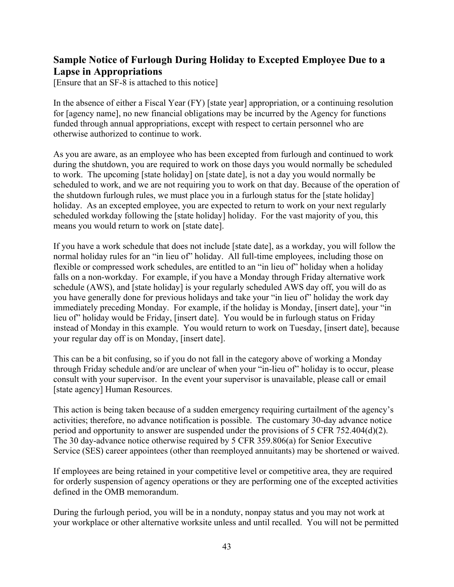## <span id="page-44-0"></span>**Sample Notice of Furlough During Holiday to Excepted Employee Due to a Lapse in Appropriations**

[Ensure that an SF-8 is attached to this notice]

In the absence of either a Fiscal Year (FY) [state year] appropriation, or a continuing resolution for [agency name], no new financial obligations may be incurred by the Agency for functions funded through annual appropriations, except with respect to certain personnel who are otherwise authorized to continue to work.

As you are aware, as an employee who has been excepted from furlough and continued to work during the shutdown, you are required to work on those days you would normally be scheduled to work. The upcoming [state holiday] on [state date], is not a day you would normally be scheduled to work, and we are not requiring you to work on that day. Because of the operation of the shutdown furlough rules, we must place you in a furlough status for the [state holiday] holiday. As an excepted employee, you are expected to return to work on your next regularly scheduled workday following the [state holiday] holiday. For the vast majority of you, this means you would return to work on [state date].

If you have a work schedule that does not include [state date], as a workday, you will follow the normal holiday rules for an "in lieu of" holiday. All full-time employees, including those on flexible or compressed work schedules, are entitled to an "in lieu of" holiday when a holiday falls on a non-workday. For example, if you have a Monday through Friday alternative work schedule (AWS), and [state holiday] is your regularly scheduled AWS day off, you will do as you have generally done for previous holidays and take your "in lieu of" holiday the work day immediately preceding Monday. For example, if the holiday is Monday, [insert date], your "in lieu of" holiday would be Friday, [insert date]. You would be in furlough status on Friday instead of Monday in this example. You would return to work on Tuesday, [insert date], because your regular day off is on Monday, [insert date].

This can be a bit confusing, so if you do not fall in the category above of working a Monday through Friday schedule and/or are unclear of when your "in-lieu of" holiday is to occur, please consult with your supervisor. In the event your supervisor is unavailable, please call or email [state agency] Human Resources.

This action is being taken because of a sudden emergency requiring curtailment of the agency's activities; therefore, no advance notification is possible. The customary 30-day advance notice period and opportunity to answer are suspended under the provisions of 5 CFR 752.404(d)(2). The 30 day-advance notice otherwise required by 5 CFR 359.806(a) for Senior Executive Service (SES) career appointees (other than reemployed annuitants) may be shortened or waived.

If employees are being retained in your competitive level or competitive area, they are required for orderly suspension of agency operations or they are performing one of the excepted activities defined in the OMB memorandum.

During the furlough period, you will be in a nonduty, nonpay status and you may not work at your workplace or other alternative worksite unless and until recalled. You will not be permitted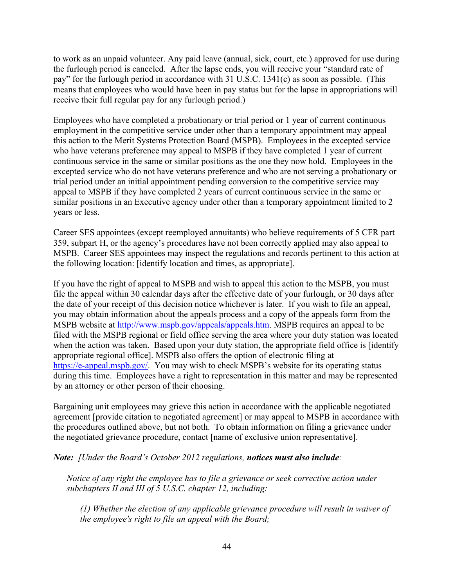to work as an unpaid volunteer. Any paid leave (annual, sick, court, etc.) approved for use during the furlough period is canceled. After the lapse ends, you will receive your "standard rate of pay" for the furlough period in accordance with 31 U.S.C. 1341(c) as soon as possible. (This means that employees who would have been in pay status but for the lapse in appropriations will receive their full regular pay for any furlough period.)

Employees who have completed a probationary or trial period or 1 year of current continuous employment in the competitive service under other than a temporary appointment may appeal this action to the Merit Systems Protection Board (MSPB). Employees in the excepted service who have veterans preference may appeal to MSPB if they have completed 1 year of current continuous service in the same or similar positions as the one they now hold. Employees in the excepted service who do not have veterans preference and who are not serving a probationary or trial period under an initial appointment pending conversion to the competitive service may appeal to MSPB if they have completed 2 years of current continuous service in the same or similar positions in an Executive agency under other than a temporary appointment limited to 2 years or less.

Career SES appointees (except reemployed annuitants) who believe requirements of 5 CFR part 359, subpart H, or the agency's procedures have not been correctly applied may also appeal to MSPB. Career SES appointees may inspect the regulations and records pertinent to this action at the following location: [identify location and times, as appropriate].

If you have the right of appeal to MSPB and wish to appeal this action to the MSPB, you must file the appeal within 30 calendar days after the effective date of your furlough, or 30 days after the date of your receipt of this decision notice whichever is later. If you wish to file an appeal, you may obtain information about the appeals process and a copy of the appeals form from the MSPB website at [http://www.mspb.gov/appeals/appeals.htm.](http://www.mspb.gov/appeals/appeals.htm) MSPB requires an appeal to be filed with the MSPB regional or field office serving the area where your duty station was located when the action was taken. Based upon your duty station, the appropriate field office is [identify appropriate regional office]. MSPB also offers the option of electronic filing at [https://e-appeal.mspb.gov/.](https://e-appeal.mspb.gov/) You may wish to check MSPB's website for its operating status during this time. Employees have a right to representation in this matter and may be represented by an attorney or other person of their choosing.

Bargaining unit employees may grieve this action in accordance with the applicable negotiated agreement [provide citation to negotiated agreement] or may appeal to MSPB in accordance with the procedures outlined above, but not both. To obtain information on filing a grievance under the negotiated grievance procedure, contact [name of exclusive union representative].

*Note: [Under the Board's October 2012 regulations, notices must also include:* 

*Notice of any right the employee has to file a grievance or seek corrective action under subchapters II and III of 5 U.S.C. chapter 12, including:* 

*(1) Whether the election of any applicable grievance procedure will result in waiver of the employee's right to file an appeal with the Board;*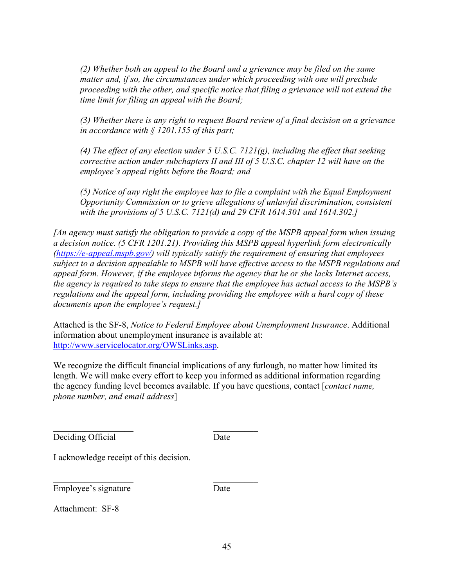*(2) Whether both an appeal to the Board and a grievance may be filed on the same matter and, if so, the circumstances under which proceeding with one will preclude proceeding with the other, and specific notice that filing a grievance will not extend the time limit for filing an appeal with the Board;* 

*(3) Whether there is any right to request Board review of a final decision on a grievance in accordance with § 1201.155 of this part;* 

*(4) The effect of any election under 5 U.S.C. 7121(g), including the effect that seeking corrective action under subchapters II and III of 5 U.S.C. chapter 12 will have on the employee's appeal rights before the Board; and* 

*(5) Notice of any right the employee has to file a complaint with the Equal Employment Opportunity Commission or to grieve allegations of unlawful discrimination, consistent with the provisions of 5 U.S.C. 7121(d) and 29 CFR 1614.301 and 1614.302.]* 

*[An agency must satisfy the obligation to provide a copy of the MSPB appeal form when issuing a decision notice. (5 CFR 1201.21). Providing this MSPB appeal hyperlink form electronically [\(https://e-appeal.mspb.gov/\)](https://e-appeal.mspb.gov/) will typically satisfy the requirement of ensuring that employees subject to a decision appealable to MSPB will have effective access to the MSPB regulations and appeal form. However, if the employee informs the agency that he or she lacks Internet access, the agency is required to take steps to ensure that the employee has actual access to the MSPB's regulations and the appeal form, including providing the employee with a hard copy of these documents upon the employee's request.]* 

Attached is the SF-8, *Notice to Federal Employee about Unemployment Insurance*. Additional information about unemployment insurance is available at: [http://www.servicelocator.org/OWSLinks.asp.](http://www.servicelocator.org/OWSLinks.asp)

We recognize the difficult financial implications of any furlough, no matter how limited its length. We will make every effort to keep you informed as additional information regarding the agency funding level becomes available. If you have questions, contact [*contact name, phone number, and email address*]

Deciding Official Date

I acknowledge receipt of this decision.

\_\_\_\_\_\_\_\_\_\_\_\_\_\_\_\_\_\_ \_\_\_\_\_\_\_\_\_\_

\_\_\_\_\_\_\_\_\_\_\_\_\_\_\_\_\_\_ \_\_\_\_\_\_\_\_\_\_ Employee's signature Date

Attachment: SF-8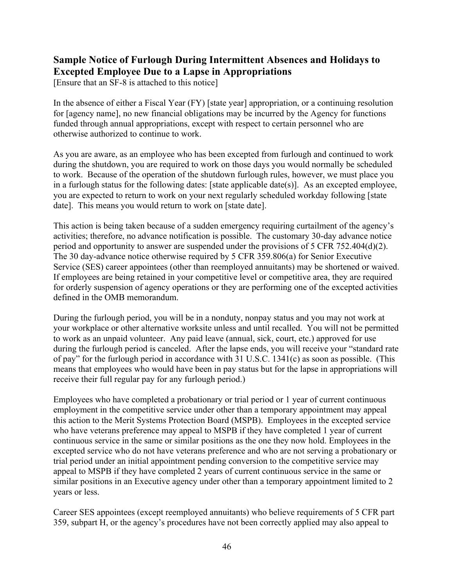## <span id="page-47-0"></span>**Sample Notice of Furlough During Intermittent Absences and Holidays to Excepted Employee Due to a Lapse in Appropriations**

[Ensure that an SF-8 is attached to this notice]

In the absence of either a Fiscal Year (FY) [state year] appropriation, or a continuing resolution for [agency name], no new financial obligations may be incurred by the Agency for functions funded through annual appropriations, except with respect to certain personnel who are otherwise authorized to continue to work.

As you are aware, as an employee who has been excepted from furlough and continued to work during the shutdown, you are required to work on those days you would normally be scheduled to work. Because of the operation of the shutdown furlough rules, however, we must place you in a furlough status for the following dates: [state applicable date(s)]. As an excepted employee, you are expected to return to work on your next regularly scheduled workday following [state date]. This means you would return to work on [state date].

This action is being taken because of a sudden emergency requiring curtailment of the agency's activities; therefore, no advance notification is possible. The customary 30-day advance notice period and opportunity to answer are suspended under the provisions of 5 CFR 752.404(d)(2). The 30 day-advance notice otherwise required by 5 CFR 359.806(a) for Senior Executive Service (SES) career appointees (other than reemployed annuitants) may be shortened or waived. If employees are being retained in your competitive level or competitive area, they are required for orderly suspension of agency operations or they are performing one of the excepted activities defined in the OMB memorandum.

During the furlough period, you will be in a nonduty, nonpay status and you may not work at your workplace or other alternative worksite unless and until recalled. You will not be permitted to work as an unpaid volunteer. Any paid leave (annual, sick, court, etc.) approved for use during the furlough period is canceled. After the lapse ends, you will receive your "standard rate of pay" for the furlough period in accordance with 31 U.S.C. 1341(c) as soon as possible. (This means that employees who would have been in pay status but for the lapse in appropriations will receive their full regular pay for any furlough period.)

Employees who have completed a probationary or trial period or 1 year of current continuous employment in the competitive service under other than a temporary appointment may appeal this action to the Merit Systems Protection Board (MSPB). Employees in the excepted service who have veterans preference may appeal to MSPB if they have completed 1 year of current continuous service in the same or similar positions as the one they now hold. Employees in the excepted service who do not have veterans preference and who are not serving a probationary or trial period under an initial appointment pending conversion to the competitive service may appeal to MSPB if they have completed 2 years of current continuous service in the same or similar positions in an Executive agency under other than a temporary appointment limited to 2 years or less.

Career SES appointees (except reemployed annuitants) who believe requirements of 5 CFR part 359, subpart H, or the agency's procedures have not been correctly applied may also appeal to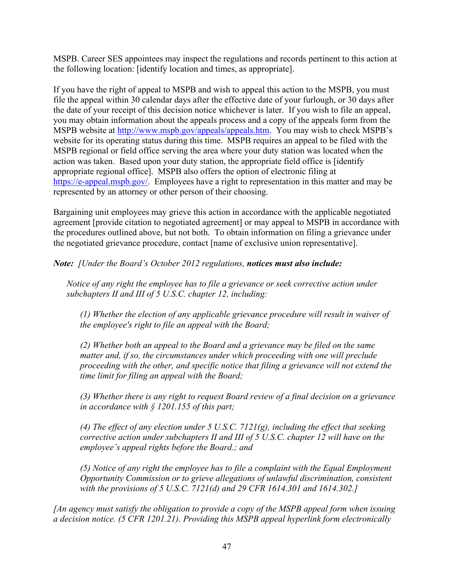MSPB. Career SES appointees may inspect the regulations and records pertinent to this action at the following location: [identify location and times, as appropriate].

If you have the right of appeal to MSPB and wish to appeal this action to the MSPB, you must file the appeal within 30 calendar days after the effective date of your furlough, or 30 days after the date of your receipt of this decision notice whichever is later. If you wish to file an appeal, you may obtain information about the appeals process and a copy of the appeals form from the MSPB website at [http://www.mspb.gov/appeals/appeals.htm.](http://www.mspb.gov/appeals/appeals.htm) You may wish to check MSPB's website for its operating status during this time. MSPB requires an appeal to be filed with the MSPB regional or field office serving the area where your duty station was located when the action was taken. Based upon your duty station, the appropriate field office is [identify appropriate regional office]. MSPB also offers the option of electronic filing at [https://e-appeal.mspb.gov/.](https://e-appeal.mspb.gov/) Employees have a right to representation in this matter and may be represented by an attorney or other person of their choosing.

Bargaining unit employees may grieve this action in accordance with the applicable negotiated agreement [provide citation to negotiated agreement] or may appeal to MSPB in accordance with the procedures outlined above, but not both. To obtain information on filing a grievance under the negotiated grievance procedure, contact [name of exclusive union representative].

*Note: [Under the Board's October 2012 regulations, notices must also include:* 

*Notice of any right the employee has to file a grievance or seek corrective action under subchapters II and III of 5 U.S.C. chapter 12, including:* 

*(1) Whether the election of any applicable grievance procedure will result in waiver of the employee's right to file an appeal with the Board;* 

*(2) Whether both an appeal to the Board and a grievance may be filed on the same matter and, if so, the circumstances under which proceeding with one will preclude proceeding with the other, and specific notice that filing a grievance will not extend the time limit for filing an appeal with the Board;* 

*(3) Whether there is any right to request Board review of a final decision on a grievance in accordance with § 1201.155 of this part;* 

*(4) The effect of any election under 5 U.S.C. 7121(g), including the effect that seeking corrective action under subchapters II and III of 5 U.S.C. chapter 12 will have on the employee's appeal rights before the Board.; and* 

*(5) Notice of any right the employee has to file a complaint with the Equal Employment Opportunity Commission or to grieve allegations of unlawful discrimination, consistent with the provisions of 5 U.S.C. 7121(d) and 29 CFR 1614.301 and 1614.302.]* 

*[An agency must satisfy the obligation to provide a copy of the MSPB appeal form when issuing a decision notice. (5 CFR 1201.21). Providing this MSPB appeal hyperlink form electronically*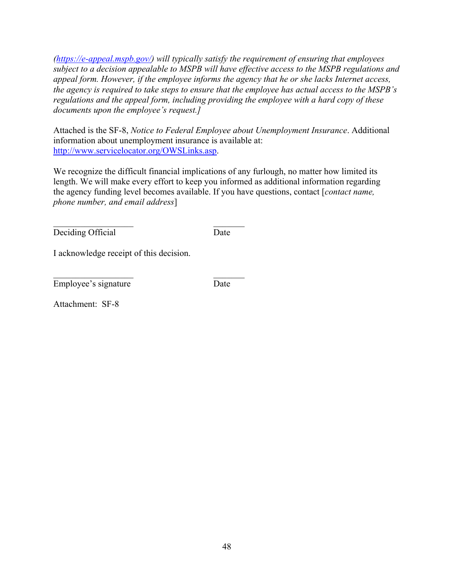*[\(https://e-appeal.mspb.gov/\)](https://e-appeal.mspb.gov/) will typically satisfy the requirement of ensuring that employees subject to a decision appealable to MSPB will have effective access to the MSPB regulations and appeal form. However, if the employee informs the agency that he or she lacks Internet access, the agency is required to take steps to ensure that the employee has actual access to the MSPB's regulations and the appeal form, including providing the employee with a hard copy of these documents upon the employee's request.]* 

Attached is the SF-8, *Notice to Federal Employee about Unemployment Insurance*. Additional information about unemployment insurance is available at: [http://www.servicelocator.org/OWSLinks.asp.](http://www.servicelocator.org/OWSLinks.asp)

We recognize the difficult financial implications of any furlough, no matter how limited its length. We will make every effort to keep you informed as additional information regarding the agency funding level becomes available. If you have questions, contact [*contact name, phone number, and email address*]

 $\mathcal{L}_\mathcal{L}$  , and the contribution of the contribution of  $\mathcal{L}_\mathcal{L}$ Deciding Official Date

I acknowledge receipt of this decision.

\_\_\_\_\_\_\_\_\_\_\_\_\_\_\_\_\_\_ \_\_\_\_\_\_\_ Employee's signature Date

Attachment: SF-8